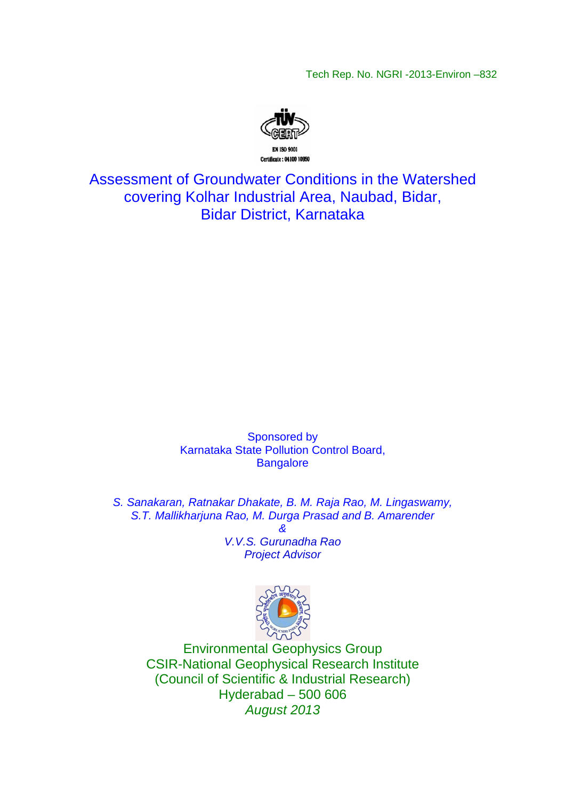Tech Rep. No. NGRI -2013-Environ –832



Assessment of Groundwater Conditions in the Watershed covering Kolhar Industrial Area, Naubad, Bidar, Bidar District, Karnataka

> Sponsored by Karnataka State Pollution Control Board, **Bangalore**

S. Sanakaran, Ratnakar Dhakate, B. M. Raja Rao, M. Lingaswamy, S.T. Mallikharjuna Rao, M. Durga Prasad and B. Amarender &

> V.V.S. Gurunadha Rao Project Advisor



Environmental Geophysics Group CSIR-National Geophysical Research Institute (Council of Scientific & Industrial Research) Hyderabad – 500 606 August 2013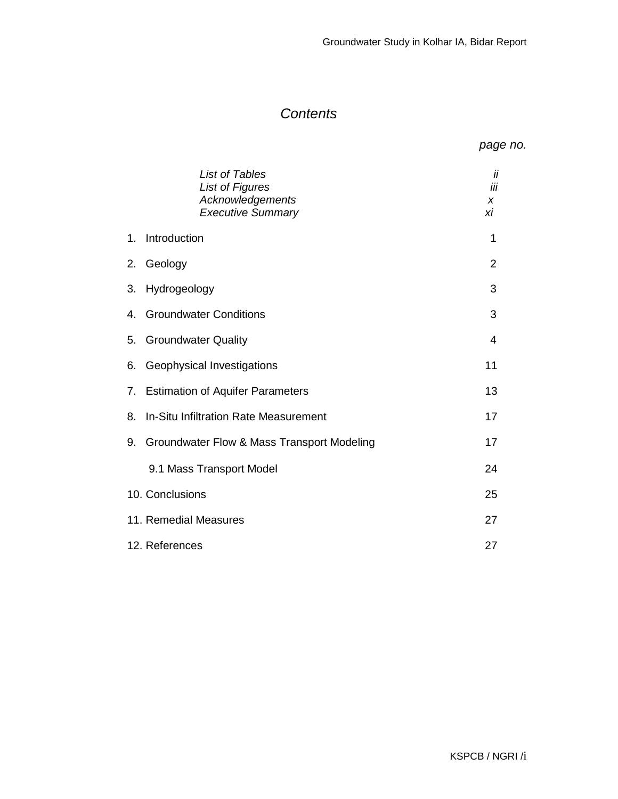# **Contents**

| page no. |
|----------|
|          |

|    | <b>List of Tables</b><br><b>List of Figures</b><br>Acknowledgements<br><b>Executive Summary</b> | İΪ<br>iii<br>X<br>хi |
|----|-------------------------------------------------------------------------------------------------|----------------------|
| 1. | Introduction                                                                                    | 1                    |
| 2. | Geology                                                                                         | 2                    |
| 3. | Hydrogeology                                                                                    | 3                    |
|    | 4. Groundwater Conditions                                                                       | 3                    |
| 5. | <b>Groundwater Quality</b>                                                                      | 4                    |
| 6. | Geophysical Investigations                                                                      | 11                   |
|    | 7. Estimation of Aquifer Parameters                                                             | 13                   |
| 8. | In-Situ Infiltration Rate Measurement                                                           | 17                   |
| 9. | Groundwater Flow & Mass Transport Modeling                                                      | 17                   |
|    | 9.1 Mass Transport Model                                                                        | 24                   |
|    | 10. Conclusions                                                                                 | 25                   |
|    | 11. Remedial Measures                                                                           | 27                   |
|    | 12. References                                                                                  | 27                   |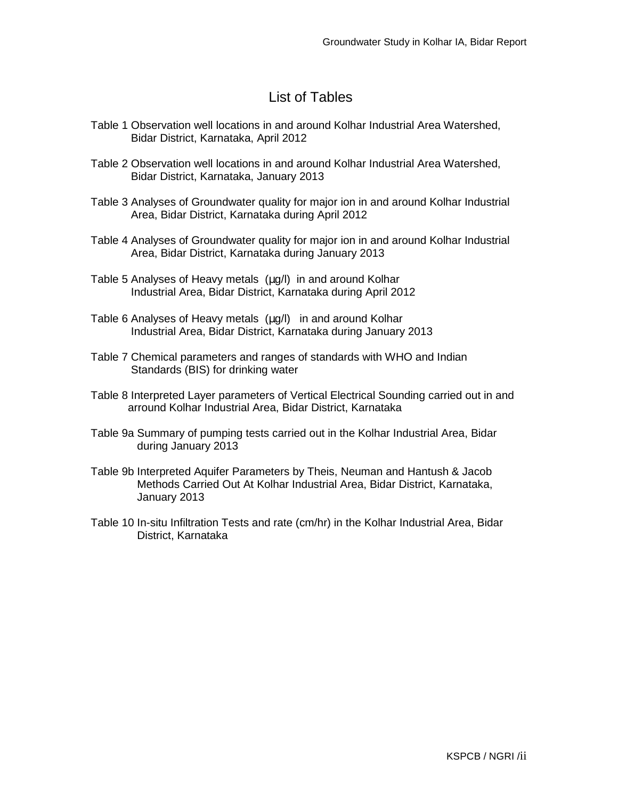# List of Tables

- Table 1 Observation well locations in and around Kolhar Industrial Area Watershed, Bidar District, Karnataka, April 2012
- Table 2 Observation well locations in and around Kolhar Industrial Area Watershed, Bidar District, Karnataka, January 2013
- Table 3 Analyses of Groundwater quality for major ion in and around Kolhar Industrial Area, Bidar District, Karnataka during April 2012
- Table 4 Analyses of Groundwater quality for major ion in and around Kolhar Industrial Area, Bidar District, Karnataka during January 2013
- Table 5 Analyses of Heavy metals (µg/l) in and around Kolhar Industrial Area, Bidar District, Karnataka during April 2012
- Table 6 Analyses of Heavy metals (ug/l) in and around Kolhar Industrial Area, Bidar District, Karnataka during January 2013
- Table 7 Chemical parameters and ranges of standards with WHO and Indian Standards (BIS) for drinking water
- Table 8 Interpreted Layer parameters of Vertical Electrical Sounding carried out in and arround Kolhar Industrial Area, Bidar District, Karnataka
- Table 9a Summary of pumping tests carried out in the Kolhar Industrial Area, Bidar during January 2013
- Table 9b Interpreted Aquifer Parameters by Theis, Neuman and Hantush & Jacob Methods Carried Out At Kolhar Industrial Area, Bidar District, Karnataka, January 2013
- Table 10 In-situ Infiltration Tests and rate (cm/hr) in the Kolhar Industrial Area, Bidar District, Karnataka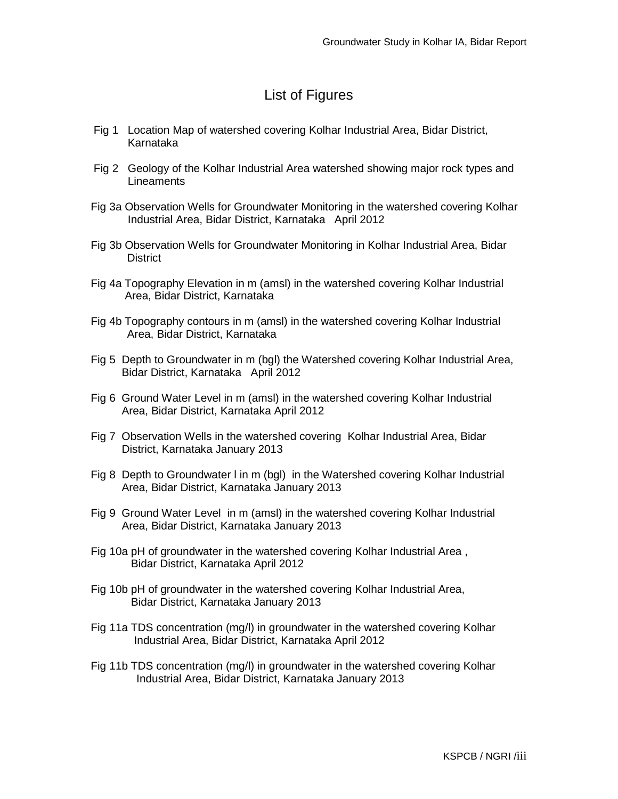# List of Figures

- Fig 1 Location Map of watershed covering Kolhar Industrial Area, Bidar District, Karnataka
- Fig 2 Geology of the Kolhar Industrial Area watershed showing major rock types and **Lineaments**
- Fig 3a Observation Wells for Groundwater Monitoring in the watershed covering Kolhar Industrial Area, Bidar District, Karnataka April 2012
- Fig 3b Observation Wells for Groundwater Monitoring in Kolhar Industrial Area, Bidar **District**
- Fig 4a Topography Elevation in m (amsl) in the watershed covering Kolhar Industrial Area, Bidar District, Karnataka
- Fig 4b Topography contours in m (amsl) in the watershed covering Kolhar Industrial Area, Bidar District, Karnataka
- Fig 5 Depth to Groundwater in m (bgl) the Watershed covering Kolhar Industrial Area, Bidar District, Karnataka April 2012
- Fig 6 Ground Water Level in m (amsl) in the watershed covering Kolhar Industrial Area, Bidar District, Karnataka April 2012
- Fig 7 Observation Wells in the watershed covering Kolhar Industrial Area, Bidar District, Karnataka January 2013
- Fig 8 Depth to Groundwater l in m (bgl) in the Watershed covering Kolhar Industrial Area, Bidar District, Karnataka January 2013
- Fig 9 Ground Water Level in m (amsl) in the watershed covering Kolhar Industrial Area, Bidar District, Karnataka January 2013
- Fig 10a pH of groundwater in the watershed covering Kolhar Industrial Area , Bidar District, Karnataka April 2012
- Fig 10b pH of groundwater in the watershed covering Kolhar Industrial Area, Bidar District, Karnataka January 2013
- Fig 11a TDS concentration (mg/l) in groundwater in the watershed covering Kolhar Industrial Area, Bidar District, Karnataka April 2012
- Fig 11b TDS concentration (mg/l) in groundwater in the watershed covering Kolhar Industrial Area, Bidar District, Karnataka January 2013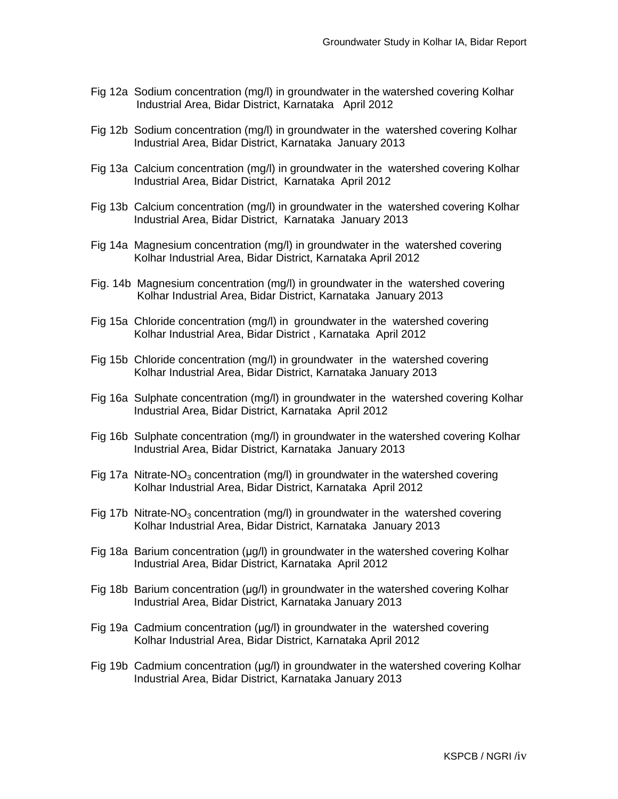- Fig 12a Sodium concentration (mg/l) in groundwater in the watershed covering Kolhar Industrial Area, Bidar District, Karnataka April 2012
- Fig 12b Sodium concentration (mg/l) in groundwater in the watershed covering Kolhar Industrial Area, Bidar District, Karnataka January 2013
- Fig 13a Calcium concentration (mg/l) in groundwater in the watershed covering Kolhar Industrial Area, Bidar District, Karnataka April 2012
- Fig 13b Calcium concentration (mg/l) in groundwater in the watershed covering Kolhar Industrial Area, Bidar District, Karnataka January 2013
- Fig 14a Magnesium concentration (mg/l) in groundwater in the watershed covering Kolhar Industrial Area, Bidar District, Karnataka April 2012
- Fig. 14b Magnesium concentration (mg/l) in groundwater in the watershed covering Kolhar Industrial Area, Bidar District, Karnataka January 2013
- Fig 15a Chloride concentration (mg/l) in groundwater in the watershed covering Kolhar Industrial Area, Bidar District , Karnataka April 2012
- Fig 15b Chloride concentration (mg/l) in groundwater in the watershed covering Kolhar Industrial Area, Bidar District, Karnataka January 2013
- Fig 16a Sulphate concentration (mg/l) in groundwater in the watershed covering Kolhar Industrial Area, Bidar District, Karnataka April 2012
- Fig 16b Sulphate concentration (mg/l) in groundwater in the watershed covering Kolhar Industrial Area, Bidar District, Karnataka January 2013
- Fig 17a Nitrate-NO<sub>3</sub> concentration (mg/l) in groundwater in the watershed covering Kolhar Industrial Area, Bidar District, Karnataka April 2012
- Fig 17b Nitrate-NO<sub>3</sub> concentration (mg/l) in groundwater in the watershed covering Kolhar Industrial Area, Bidar District, Karnataka January 2013
- Fig 18a Barium concentration (µg/l) in groundwater in the watershed covering Kolhar Industrial Area, Bidar District, Karnataka April 2012
- Fig 18b Barium concentration (µg/l) in groundwater in the watershed covering Kolhar Industrial Area, Bidar District, Karnataka January 2013
- Fig 19a Cadmium concentration (µg/l) in groundwater in the watershed covering Kolhar Industrial Area, Bidar District, Karnataka April 2012
- Fig 19b Cadmium concentration (µg/l) in groundwater in the watershed covering Kolhar Industrial Area, Bidar District, Karnataka January 2013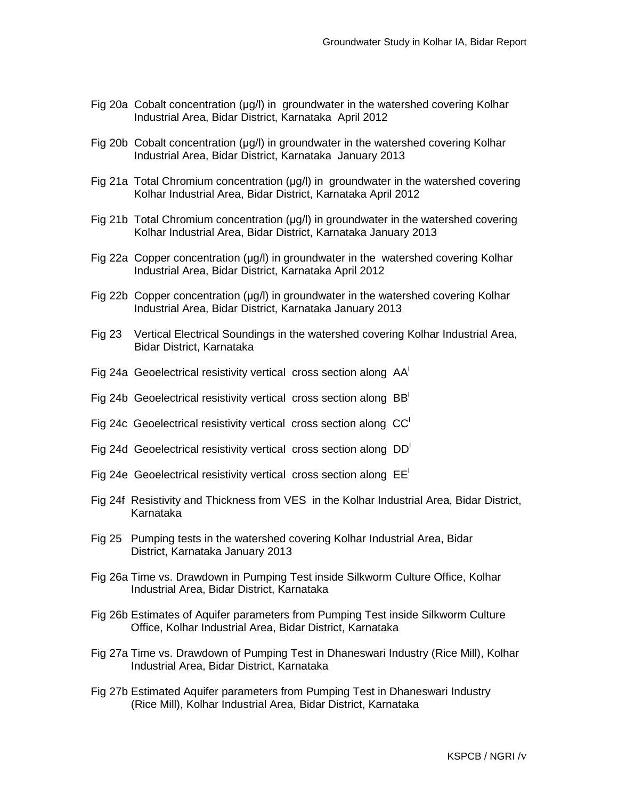- Fig 20a Cobalt concentration (µg/l) in groundwater in the watershed covering Kolhar Industrial Area, Bidar District, Karnataka April 2012
- Fig 20b Cobalt concentration (µg/l) in groundwater in the watershed covering Kolhar Industrial Area, Bidar District, Karnataka January 2013
- Fig 21a Total Chromium concentration (µg/l) in groundwater in the watershed covering Kolhar Industrial Area, Bidar District, Karnataka April 2012
- Fig 21b Total Chromium concentration (µg/l) in groundwater in the watershed covering Kolhar Industrial Area, Bidar District, Karnataka January 2013
- Fig 22a Copper concentration (µg/l) in groundwater in the watershed covering Kolhar Industrial Area, Bidar District, Karnataka April 2012
- Fig 22b Copper concentration (µg/l) in groundwater in the watershed covering Kolhar Industrial Area, Bidar District, Karnataka January 2013
- Fig 23 Vertical Electrical Soundings in the watershed covering Kolhar Industrial Area, Bidar District, Karnataka
- Fig 24a Geoelectrical resistivity vertical cross section along  $AA<sup>T</sup>$
- Fig 24b Geoelectrical resistivity vertical cross section along  $BB<sup>1</sup>$
- Fig 24c Geoelectrical resistivity vertical cross section along  $CC<sup>T</sup>$
- Fig 24d Geoelectrical resistivity vertical cross section along DD<sup>I</sup>
- Fig 24e Geoelectrical resistivity vertical cross section along  $EE<sup>T</sup>$
- Fig 24f Resistivity and Thickness from VES in the Kolhar Industrial Area, Bidar District, Karnataka
- Fig 25 Pumping tests in the watershed covering Kolhar Industrial Area, Bidar District, Karnataka January 2013
- Fig 26a Time vs. Drawdown in Pumping Test inside Silkworm Culture Office, Kolhar Industrial Area, Bidar District, Karnataka
- Fig 26b Estimates of Aquifer parameters from Pumping Test inside Silkworm Culture Office, Kolhar Industrial Area, Bidar District, Karnataka
- Fig 27a Time vs. Drawdown of Pumping Test in Dhaneswari Industry (Rice Mill), Kolhar Industrial Area, Bidar District, Karnataka
- Fig 27b Estimated Aquifer parameters from Pumping Test in Dhaneswari Industry (Rice Mill), Kolhar Industrial Area, Bidar District, Karnataka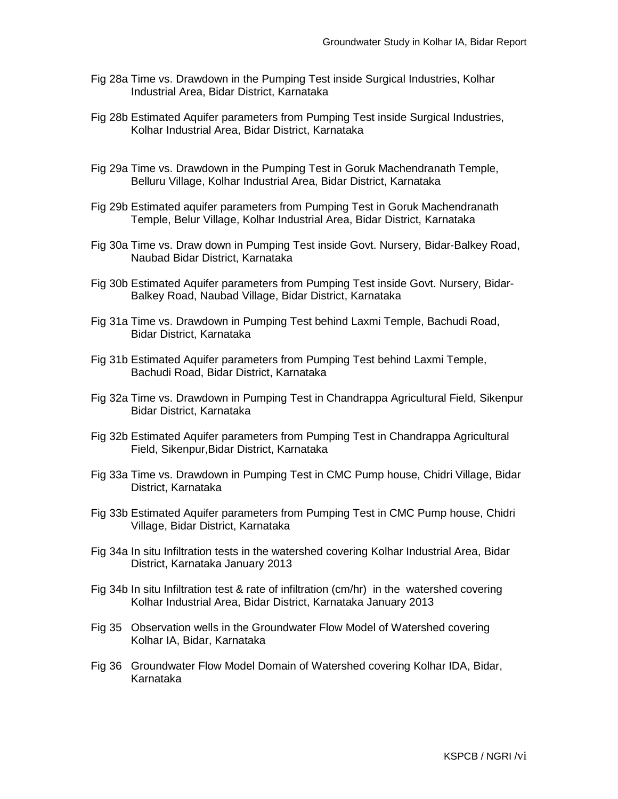- Fig 28a Time vs. Drawdown in the Pumping Test inside Surgical Industries, Kolhar Industrial Area, Bidar District, Karnataka
- Fig 28b Estimated Aquifer parameters from Pumping Test inside Surgical Industries, Kolhar Industrial Area, Bidar District, Karnataka
- Fig 29a Time vs. Drawdown in the Pumping Test in Goruk Machendranath Temple, Belluru Village, Kolhar Industrial Area, Bidar District, Karnataka
- Fig 29b Estimated aquifer parameters from Pumping Test in Goruk Machendranath Temple, Belur Village, Kolhar Industrial Area, Bidar District, Karnataka
- Fig 30a Time vs. Draw down in Pumping Test inside Govt. Nursery, Bidar-Balkey Road, Naubad Bidar District, Karnataka
- Fig 30b Estimated Aquifer parameters from Pumping Test inside Govt. Nursery, Bidar- Balkey Road, Naubad Village, Bidar District, Karnataka
- Fig 31a Time vs. Drawdown in Pumping Test behind Laxmi Temple, Bachudi Road, Bidar District, Karnataka
- Fig 31b Estimated Aquifer parameters from Pumping Test behind Laxmi Temple, Bachudi Road, Bidar District, Karnataka
- Fig 32a Time vs. Drawdown in Pumping Test in Chandrappa Agricultural Field, Sikenpur Bidar District, Karnataka
- Fig 32b Estimated Aquifer parameters from Pumping Test in Chandrappa Agricultural Field, Sikenpur,Bidar District, Karnataka
- Fig 33a Time vs. Drawdown in Pumping Test in CMC Pump house, Chidri Village, Bidar District, Karnataka
- Fig 33b Estimated Aquifer parameters from Pumping Test in CMC Pump house, Chidri Village, Bidar District, Karnataka
- Fig 34a In situ Infiltration tests in the watershed covering Kolhar Industrial Area, Bidar District, Karnataka January 2013
- Fig 34b In situ Infiltration test & rate of infiltration (cm/hr) in the watershed covering Kolhar Industrial Area, Bidar District, Karnataka January 2013
- Fig 35 Observation wells in the Groundwater Flow Model of Watershed covering Kolhar IA, Bidar, Karnataka
- Fig 36 Groundwater Flow Model Domain of Watershed covering Kolhar IDA, Bidar, Karnataka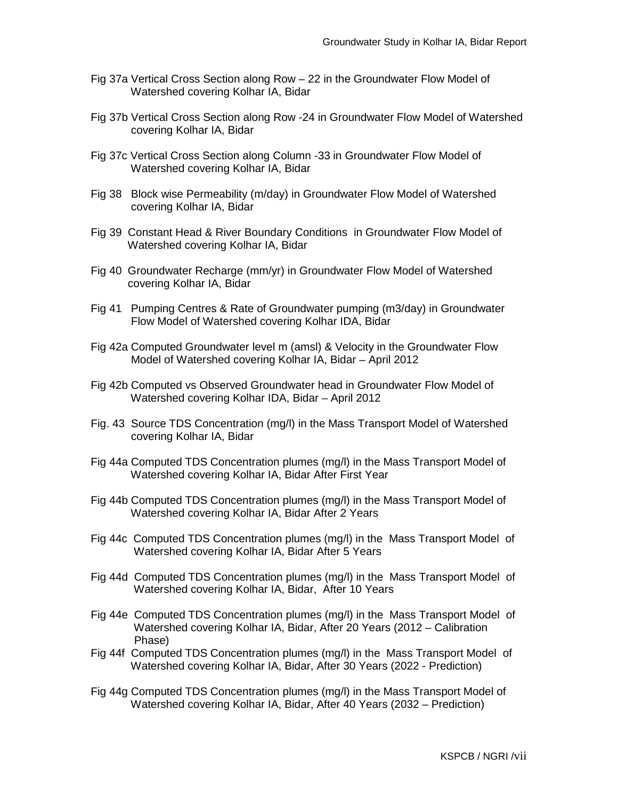- Fig 37a Vertical Cross Section along Row 22 in the Groundwater Flow Model of Watershed covering Kolhar IA, Bidar
- Fig 37b Vertical Cross Section along Row -24 in Groundwater Flow Model of Watershed covering Kolhar IA, Bidar
- Fig 37c Vertical Cross Section along Column -33 in Groundwater Flow Model of Watershed covering Kolhar IA, Bidar
- Fig 38 Block wise Permeability (m/day) in Groundwater Flow Model of Watershed covering Kolhar IA, Bidar
- Fig 39 Constant Head & River Boundary Conditions in Groundwater Flow Model of Watershed covering Kolhar IA, Bidar
- Fig 40 Groundwater Recharge (mm/yr) in Groundwater Flow Model of Watershed covering Kolhar IA, Bidar
- Fig 41 Pumping Centres & Rate of Groundwater pumping (m3/day) in Groundwater Flow Model of Watershed covering Kolhar IDA, Bidar
- Fig 42a Computed Groundwater level m (amsl) & Velocity in the Groundwater Flow Model of Watershed covering Kolhar IA, Bidar – April 2012
- Fig 42b Computed vs Observed Groundwater head in Groundwater Flow Model of Watershed covering Kolhar IDA, Bidar – April 2012
- Fig. 43 Source TDS Concentration (mg/l) in the Mass Transport Model of Watershed covering Kolhar IA, Bidar
- Fig 44a Computed TDS Concentration plumes (mg/l) in the Mass Transport Model of Watershed covering Kolhar IA, Bidar After First Year
- Fig 44b Computed TDS Concentration plumes (mg/l) in the Mass Transport Model of Watershed covering Kolhar IA, Bidar After 2 Years
- Fig 44c Computed TDS Concentration plumes (mg/l) in the Mass Transport Model of Watershed covering Kolhar IA, Bidar After 5 Years
- Fig 44d Computed TDS Concentration plumes (mg/l) in the Mass Transport Model of Watershed covering Kolhar IA, Bidar, After 10 Years
- Fig 44e Computed TDS Concentration plumes (mg/l) in the Mass Transport Model of Watershed covering Kolhar IA, Bidar, After 20 Years (2012 – Calibration Phase)
- Fig 44f Computed TDS Concentration plumes (mg/l) in the Mass Transport Model of Watershed covering Kolhar IA, Bidar, After 30 Years (2022 - Prediction)
- Fig 44g Computed TDS Concentration plumes (mg/l) in the Mass Transport Model of Watershed covering Kolhar IA, Bidar, After 40 Years (2032 – Prediction)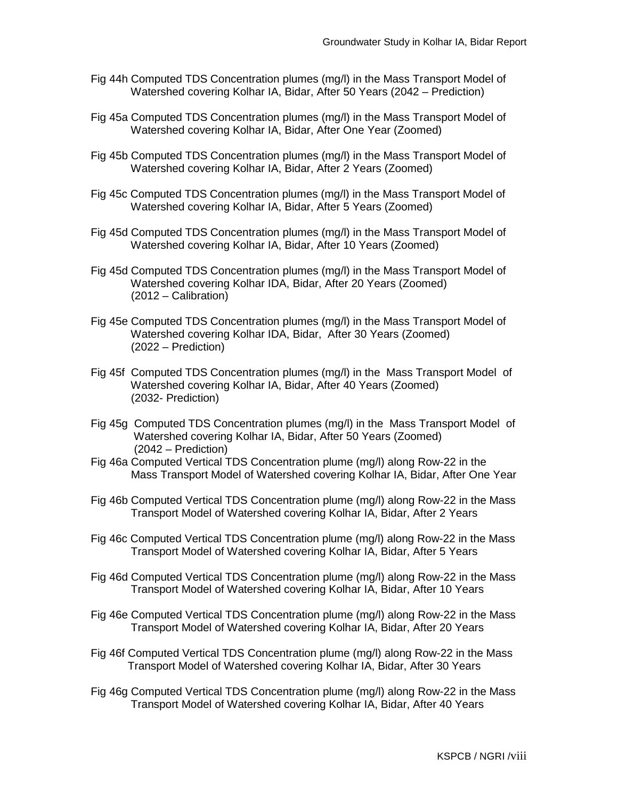- Fig 44h Computed TDS Concentration plumes (mg/l) in the Mass Transport Model of Watershed covering Kolhar IA, Bidar, After 50 Years (2042 – Prediction)
- Fig 45a Computed TDS Concentration plumes (mg/l) in the Mass Transport Model of Watershed covering Kolhar IA, Bidar, After One Year (Zoomed)
- Fig 45b Computed TDS Concentration plumes (mg/l) in the Mass Transport Model of Watershed covering Kolhar IA, Bidar, After 2 Years (Zoomed)
- Fig 45c Computed TDS Concentration plumes (mg/l) in the Mass Transport Model of Watershed covering Kolhar IA, Bidar, After 5 Years (Zoomed)
- Fig 45d Computed TDS Concentration plumes (mg/l) in the Mass Transport Model of Watershed covering Kolhar IA, Bidar, After 10 Years (Zoomed)
- Fig 45d Computed TDS Concentration plumes (mg/l) in the Mass Transport Model of Watershed covering Kolhar IDA, Bidar, After 20 Years (Zoomed) (2012 – Calibration)
- Fig 45e Computed TDS Concentration plumes (mg/l) in the Mass Transport Model of Watershed covering Kolhar IDA, Bidar, After 30 Years (Zoomed) (2022 – Prediction)
- Fig 45f Computed TDS Concentration plumes (mg/l) in the Mass Transport Model of Watershed covering Kolhar IA, Bidar, After 40 Years (Zoomed) (2032- Prediction)
- Fig 45g Computed TDS Concentration plumes (mg/l) in the Mass Transport Model of Watershed covering Kolhar IA, Bidar, After 50 Years (Zoomed) (2042 – Prediction)
- Fig 46a Computed Vertical TDS Concentration plume (mg/l) along Row-22 in the Mass Transport Model of Watershed covering Kolhar IA, Bidar, After One Year
- Fig 46b Computed Vertical TDS Concentration plume (mg/l) along Row-22 in the Mass Transport Model of Watershed covering Kolhar IA, Bidar, After 2 Years
- Fig 46c Computed Vertical TDS Concentration plume (mg/l) along Row-22 in the Mass Transport Model of Watershed covering Kolhar IA, Bidar, After 5 Years
- Fig 46d Computed Vertical TDS Concentration plume (mg/l) along Row-22 in the Mass Transport Model of Watershed covering Kolhar IA, Bidar, After 10 Years
- Fig 46e Computed Vertical TDS Concentration plume (mg/l) along Row-22 in the Mass Transport Model of Watershed covering Kolhar IA, Bidar, After 20 Years
- Fig 46f Computed Vertical TDS Concentration plume (mg/l) along Row-22 in the Mass Transport Model of Watershed covering Kolhar IA, Bidar, After 30 Years
- Fig 46g Computed Vertical TDS Concentration plume (mg/l) along Row-22 in the Mass Transport Model of Watershed covering Kolhar IA, Bidar, After 40 Years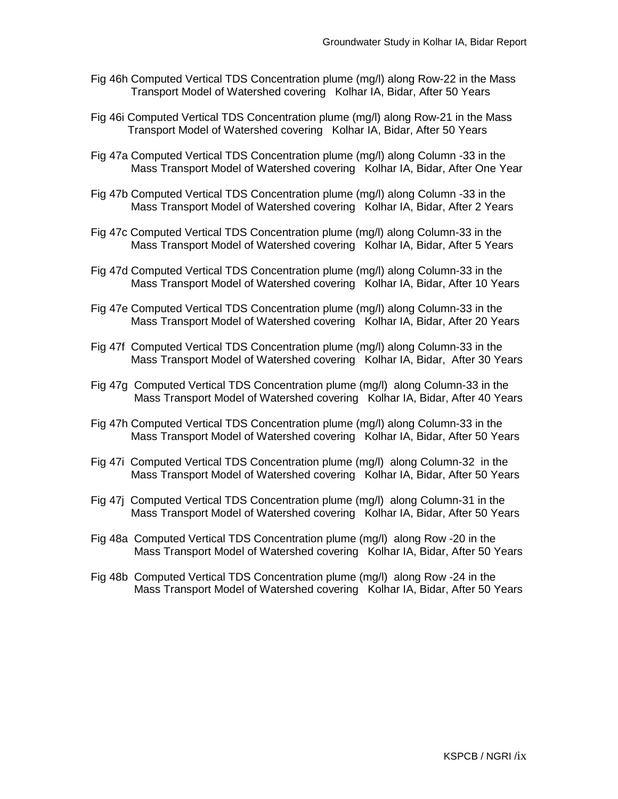- Fig 46h Computed Vertical TDS Concentration plume (mg/l) along Row-22 in the Mass Transport Model of Watershed covering Kolhar IA, Bidar, After 50 Years
- Fig 46i Computed Vertical TDS Concentration plume (mg/l) along Row-21 in the Mass Transport Model of Watershed covering Kolhar IA, Bidar, After 50 Years
- Fig 47a Computed Vertical TDS Concentration plume (mg/l) along Column -33 in the Mass Transport Model of Watershed covering Kolhar IA, Bidar, After One Year
- Fig 47b Computed Vertical TDS Concentration plume (mg/l) along Column -33 in the Mass Transport Model of Watershed covering Kolhar IA, Bidar, After 2 Years
- Fig 47c Computed Vertical TDS Concentration plume (mg/l) along Column-33 in the Mass Transport Model of Watershed covering Kolhar IA, Bidar, After 5 Years
- Fig 47d Computed Vertical TDS Concentration plume (mg/l) along Column-33 in the Mass Transport Model of Watershed covering Kolhar IA, Bidar, After 10 Years
- Fig 47e Computed Vertical TDS Concentration plume (mg/l) along Column-33 in the Mass Transport Model of Watershed covering Kolhar IA, Bidar, After 20 Years
- Fig 47f Computed Vertical TDS Concentration plume (mg/l) along Column-33 in the Mass Transport Model of Watershed covering Kolhar IA, Bidar, After 30 Years
- Fig 47g Computed Vertical TDS Concentration plume (mg/l) along Column-33 in the Mass Transport Model of Watershed covering Kolhar IA, Bidar, After 40 Years
- Fig 47h Computed Vertical TDS Concentration plume (mg/l) along Column-33 in the Mass Transport Model of Watershed covering Kolhar IA, Bidar, After 50 Years
- Fig 47i Computed Vertical TDS Concentration plume (mg/l) along Column-32 in the Mass Transport Model of Watershed covering Kolhar IA, Bidar, After 50 Years
- Fig 47j Computed Vertical TDS Concentration plume (mg/l) along Column-31 in the Mass Transport Model of Watershed covering Kolhar IA, Bidar, After 50 Years
- Fig 48a Computed Vertical TDS Concentration plume (mg/l) along Row -20 in the Mass Transport Model of Watershed covering Kolhar IA, Bidar, After 50 Years
- Fig 48b Computed Vertical TDS Concentration plume (mg/l) along Row -24 in the Mass Transport Model of Watershed covering Kolhar IA, Bidar, After 50 Years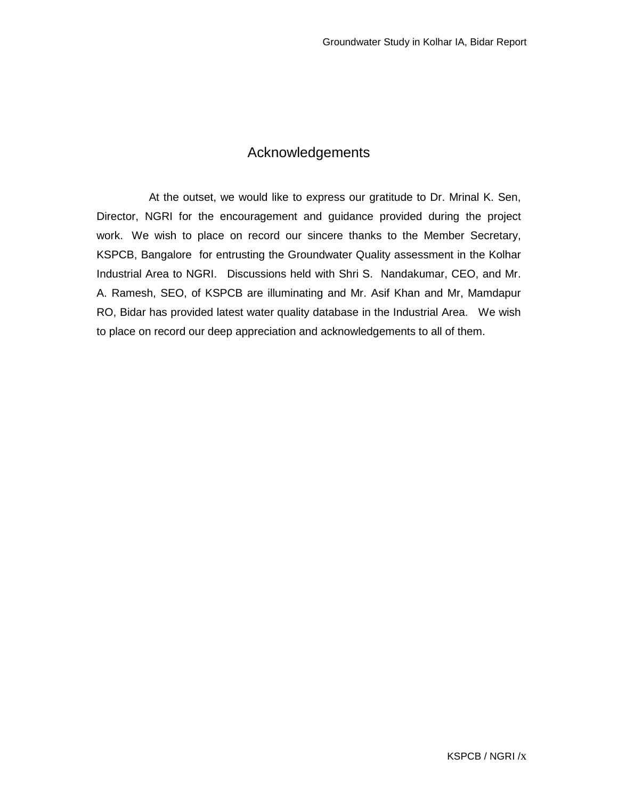## Acknowledgements

 At the outset, we would like to express our gratitude to Dr. Mrinal K. Sen, Director, NGRI for the encouragement and guidance provided during the project work. We wish to place on record our sincere thanks to the Member Secretary, KSPCB, Bangalore for entrusting the Groundwater Quality assessment in the Kolhar Industrial Area to NGRI. Discussions held with Shri S. Nandakumar, CEO, and Mr. A. Ramesh, SEO, of KSPCB are illuminating and Mr. Asif Khan and Mr, Mamdapur RO, Bidar has provided latest water quality database in the Industrial Area. We wish to place on record our deep appreciation and acknowledgements to all of them.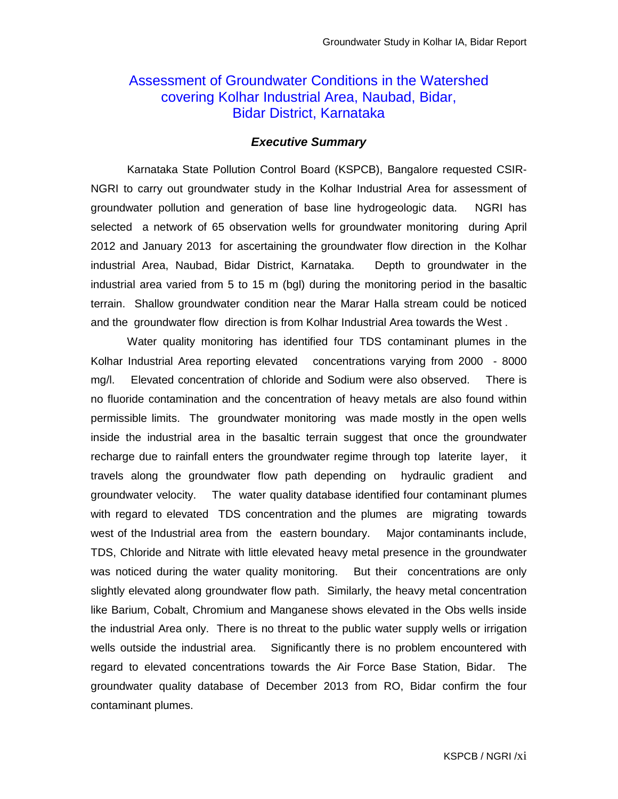## Assessment of Groundwater Conditions in the Watershed covering Kolhar Industrial Area, Naubad, Bidar, Bidar District, Karnataka

### **Executive Summary**

Karnataka State Pollution Control Board (KSPCB), Bangalore requested CSIR-NGRI to carry out groundwater study in the Kolhar Industrial Area for assessment of groundwater pollution and generation of base line hydrogeologic data. NGRI has selected a network of 65 observation wells for groundwater monitoring during April 2012 and January 2013 for ascertaining the groundwater flow direction in the Kolhar industrial Area, Naubad, Bidar District, Karnataka. Depth to groundwater in the industrial area varied from 5 to 15 m (bgl) during the monitoring period in the basaltic terrain. Shallow groundwater condition near the Marar Halla stream could be noticed and the groundwater flow direction is from Kolhar Industrial Area towards the West .

Water quality monitoring has identified four TDS contaminant plumes in the Kolhar Industrial Area reporting elevated concentrations varying from 2000 - 8000 mg/l. Elevated concentration of chloride and Sodium were also observed. There is no fluoride contamination and the concentration of heavy metals are also found within permissible limits. The groundwater monitoring was made mostly in the open wells inside the industrial area in the basaltic terrain suggest that once the groundwater recharge due to rainfall enters the groundwater regime through top laterite layer, it travels along the groundwater flow path depending on hydraulic gradient and groundwater velocity. The water quality database identified four contaminant plumes with regard to elevated TDS concentration and the plumes are migrating towards west of the Industrial area from the eastern boundary. Major contaminants include, TDS, Chloride and Nitrate with little elevated heavy metal presence in the groundwater was noticed during the water quality monitoring. But their concentrations are only slightly elevated along groundwater flow path. Similarly, the heavy metal concentration like Barium, Cobalt, Chromium and Manganese shows elevated in the Obs wells inside the industrial Area only. There is no threat to the public water supply wells or irrigation wells outside the industrial area. Significantly there is no problem encountered with regard to elevated concentrations towards the Air Force Base Station, Bidar. The groundwater quality database of December 2013 from RO, Bidar confirm the four contaminant plumes.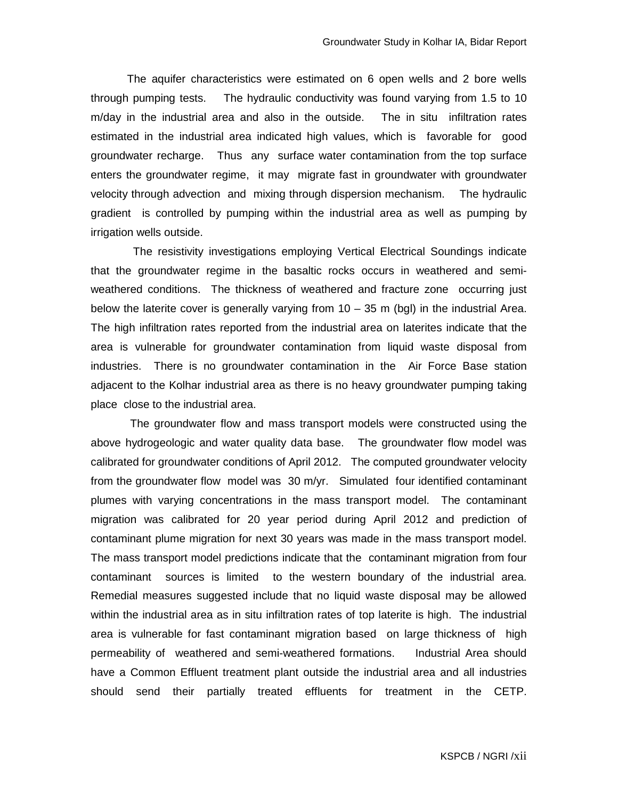The aquifer characteristics were estimated on 6 open wells and 2 bore wells through pumping tests. The hydraulic conductivity was found varying from 1.5 to 10 m/day in the industrial area and also in the outside. The in situ infiltration rates estimated in the industrial area indicated high values, which is favorable for good groundwater recharge. Thus any surface water contamination from the top surface enters the groundwater regime, it may migrate fast in groundwater with groundwater velocity through advection and mixing through dispersion mechanism. The hydraulic gradient is controlled by pumping within the industrial area as well as pumping by irrigation wells outside.

 The resistivity investigations employing Vertical Electrical Soundings indicate that the groundwater regime in the basaltic rocks occurs in weathered and semiweathered conditions. The thickness of weathered and fracture zone occurring just below the laterite cover is generally varying from 10 – 35 m (bgl) in the industrial Area. The high infiltration rates reported from the industrial area on laterites indicate that the area is vulnerable for groundwater contamination from liquid waste disposal from industries. There is no groundwater contamination in the Air Force Base station adjacent to the Kolhar industrial area as there is no heavy groundwater pumping taking place close to the industrial area.

 The groundwater flow and mass transport models were constructed using the above hydrogeologic and water quality data base. The groundwater flow model was calibrated for groundwater conditions of April 2012. The computed groundwater velocity from the groundwater flow model was 30 m/yr. Simulated four identified contaminant plumes with varying concentrations in the mass transport model. The contaminant migration was calibrated for 20 year period during April 2012 and prediction of contaminant plume migration for next 30 years was made in the mass transport model. The mass transport model predictions indicate that the contaminant migration from four contaminant sources is limited to the western boundary of the industrial area. Remedial measures suggested include that no liquid waste disposal may be allowed within the industrial area as in situ infiltration rates of top laterite is high. The industrial area is vulnerable for fast contaminant migration based on large thickness of high permeability of weathered and semi-weathered formations. Industrial Area should have a Common Effluent treatment plant outside the industrial area and all industries should send their partially treated effluents for treatment in the CETP.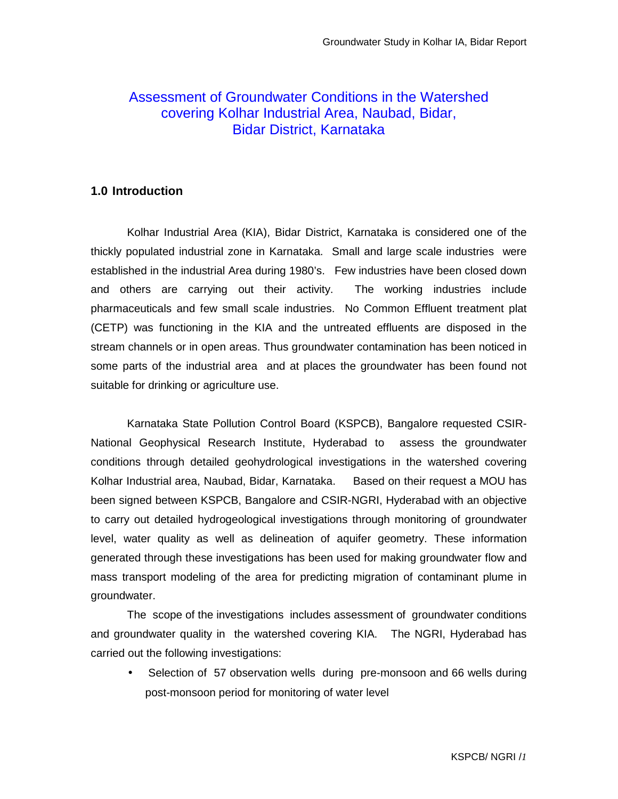## Assessment of Groundwater Conditions in the Watershed covering Kolhar Industrial Area, Naubad, Bidar, Bidar District, Karnataka

## **1.0 Introduction**

Kolhar Industrial Area (KIA), Bidar District, Karnataka is considered one of the thickly populated industrial zone in Karnataka. Small and large scale industries were established in the industrial Area during 1980's. Few industries have been closed down and others are carrying out their activity. The working industries include pharmaceuticals and few small scale industries. No Common Effluent treatment plat (CETP) was functioning in the KIA and the untreated effluents are disposed in the stream channels or in open areas. Thus groundwater contamination has been noticed in some parts of the industrial area and at places the groundwater has been found not suitable for drinking or agriculture use.

 Karnataka State Pollution Control Board (KSPCB), Bangalore requested CSIR-National Geophysical Research Institute, Hyderabad to assess the groundwater conditions through detailed geohydrological investigations in the watershed covering Kolhar Industrial area, Naubad, Bidar, Karnataka. Based on their request a MOU has been signed between KSPCB, Bangalore and CSIR-NGRI, Hyderabad with an objective to carry out detailed hydrogeological investigations through monitoring of groundwater level, water quality as well as delineation of aquifer geometry. These information generated through these investigations has been used for making groundwater flow and mass transport modeling of the area for predicting migration of contaminant plume in groundwater.

 The scope of the investigations includes assessment of groundwater conditions and groundwater quality in the watershed covering KIA. The NGRI, Hyderabad has carried out the following investigations:

Selection of 57 observation wells during pre-monsoon and 66 wells during post-monsoon period for monitoring of water level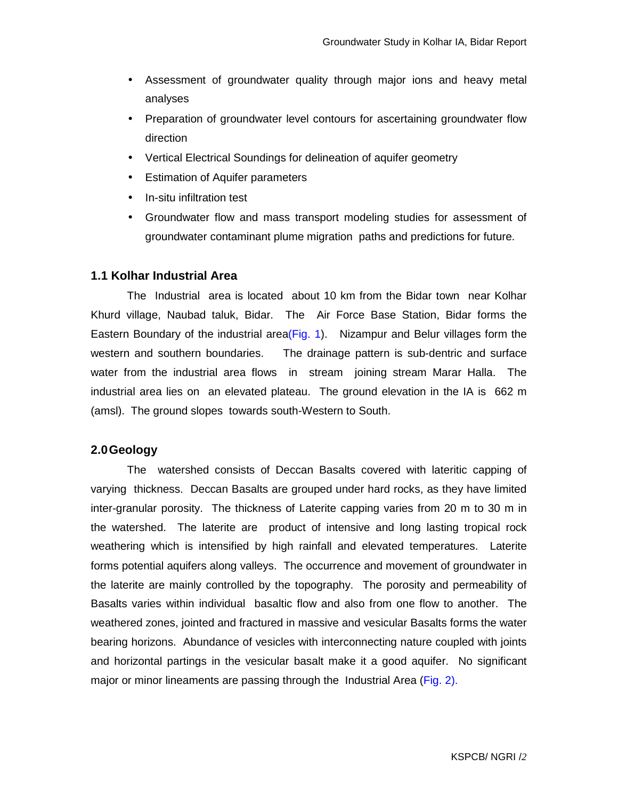- Assessment of groundwater quality through major ions and heavy metal analyses
- Preparation of groundwater level contours for ascertaining groundwater flow direction
- Vertical Electrical Soundings for delineation of aquifer geometry
- Estimation of Aquifer parameters
- In-situ infiltration test
- Groundwater flow and mass transport modeling studies for assessment of groundwater contaminant plume migration paths and predictions for future.

#### **1.1 Kolhar Industrial Area**

The Industrial area is located about 10 km from the Bidar town near Kolhar Khurd village, Naubad taluk, Bidar. The Air Force Base Station, Bidar forms the Eastern Boundary of the industrial area( $Fig. 1$ ). Nizampur and Belur villages form the western and southern boundaries. The drainage pattern is sub-dentric and surface water from the industrial area flows in stream joining stream Marar Halla. The industrial area lies on an elevated plateau. The ground elevation in the IA is 662 m (amsl). The ground slopes towards south-Western to South.

#### **2.0 Geology**

 The watershed consists of Deccan Basalts covered with lateritic capping of varying thickness. Deccan Basalts are grouped under hard rocks, as they have limited inter-granular porosity. The thickness of Laterite capping varies from 20 m to 30 m in the watershed. The laterite are product of intensive and long lasting tropical rock weathering which is intensified by high rainfall and elevated temperatures. Laterite forms potential aquifers along valleys. The occurrence and movement of groundwater in the laterite are mainly controlled by the topography. The porosity and permeability of Basalts varies within individual basaltic flow and also from one flow to another. The weathered zones, jointed and fractured in massive and vesicular Basalts forms the water bearing horizons. Abundance of vesicles with interconnecting nature coupled with joints and horizontal partings in the vesicular basalt make it a good aquifer. No significant major or minor lineaments are passing through the Industrial Area (Fig. 2).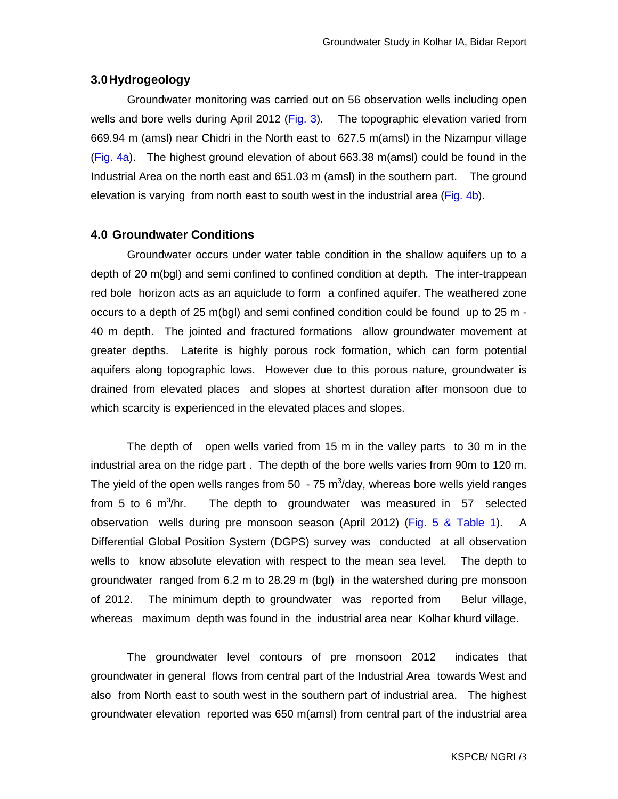#### **3.0 Hydrogeology**

Groundwater monitoring was carried out on 56 observation wells including open wells and bore wells during April 2012 (Fig. 3). The topographic elevation varied from 669.94 m (amsl) near Chidri in the North east to 627.5 m(amsl) in the Nizampur village (Fig. 4a). The highest ground elevation of about 663.38 m(amsl) could be found in the Industrial Area on the north east and 651.03 m (amsl) in the southern part. The ground elevation is varying from north east to south west in the industrial area (Fig. 4b).

#### **4.0 Groundwater Conditions**

Groundwater occurs under water table condition in the shallow aquifers up to a depth of 20 m(bgl) and semi confined to confined condition at depth. The inter-trappean red bole horizon acts as an aquiclude to form a confined aquifer. The weathered zone occurs to a depth of 25 m(bgl) and semi confined condition could be found up to 25 m - 40 m depth. The jointed and fractured formations allow groundwater movement at greater depths. Laterite is highly porous rock formation, which can form potential aquifers along topographic lows. However due to this porous nature, groundwater is drained from elevated places and slopes at shortest duration after monsoon due to which scarcity is experienced in the elevated places and slopes.

The depth of open wells varied from 15 m in the valley parts to 30 m in the industrial area on the ridge part . The depth of the bore wells varies from 90m to 120 m. The yield of the open wells ranges from 50  $\,$  - 75 m<sup>3</sup>/day, whereas bore wells yield ranges from 5 to 6  $m^3$ /hr. The depth to groundwater was measured in 57 selected observation wells during pre monsoon season (April 2012) (Fig. 5 & Table 1). A Differential Global Position System (DGPS) survey was conducted at all observation wells to know absolute elevation with respect to the mean sea level. The depth to groundwater ranged from 6.2 m to 28.29 m (bgl) in the watershed during pre monsoon of 2012. The minimum depth to groundwater was reported from Belur village, whereas maximum depth was found in the industrial area near Kolhar khurd village.

The groundwater level contours of pre monsoon 2012 indicates that groundwater in general flows from central part of the Industrial Area towards West and also from North east to south west in the southern part of industrial area. The highest groundwater elevation reported was 650 m(amsl) from central part of the industrial area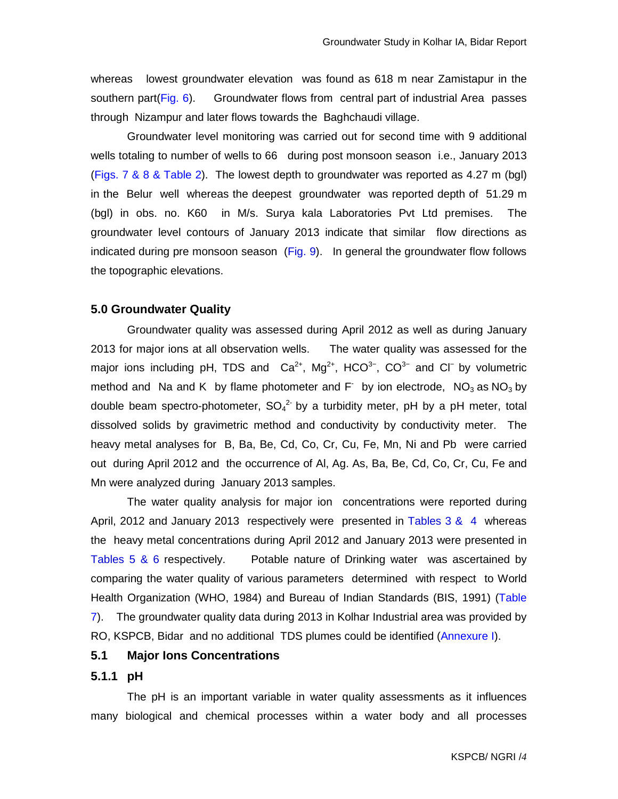whereas lowest groundwater elevation was found as 618 m near Zamistapur in the southern part(Fig. 6). Groundwater flows from central part of industrial Area passes through Nizampur and later flows towards the Baghchaudi village.

Groundwater level monitoring was carried out for second time with 9 additional wells totaling to number of wells to 66 during post monsoon season i.e., January 2013 (Figs. 7 & 8 & Table 2). The lowest depth to groundwater was reported as 4.27 m (bgl) in the Belur well whereas the deepest groundwater was reported depth of 51.29 m (bgl) in obs. no. K60 in M/s. Surya kala Laboratories Pvt Ltd premises. The groundwater level contours of January 2013 indicate that similar flow directions as indicated during pre monsoon season (Fig. 9). In general the groundwater flow follows the topographic elevations.

#### **5.0 Groundwater Quality**

Groundwater quality was assessed during April 2012 as well as during January 2013 for major ions at all observation wells. The water quality was assessed for the major ions including pH, TDS and  $Ca^{2+}$ , Mg<sup>2+</sup>, HCO<sup>3−</sup>, CO<sup>3−</sup> and Cl<sup>−</sup> by volumetric method and Na and K by flame photometer and  $F^-$  by ion electrode,  $NO_3$  as  $NO_3$  by double beam spectro-photometer,  $SO_4^2$  by a turbidity meter, pH by a pH meter, total dissolved solids by gravimetric method and conductivity by conductivity meter. The heavy metal analyses for B, Ba, Be, Cd, Co, Cr, Cu, Fe, Mn, Ni and Pb were carried out during April 2012 and the occurrence of Al, Ag. As, Ba, Be, Cd, Co, Cr, Cu, Fe and Mn were analyzed during January 2013 samples.

The water quality analysis for major ion concentrations were reported during April, 2012 and January 2013 respectively were presented in Tables 3 & 4 whereas theheavy metal concentrations during April 2012 and January 2013 were presented in Tables 5 & 6 respectively. Potable nature of Drinking water was ascertained by comparing the water quality of various parameters determined with respect to World Health Organization (WHO, 1984) and Bureau of Indian Standards (BIS, 1991) (Table 7). The groundwater quality data during 2013 in Kolhar Industrial area was provided by RO, KSPCB, Bidar and no additional TDS plumes could be identified (Annexure I).

## **5.1 Major Ions Concentrations**

### **5.1.1 pH**

The pH is an important variable in water quality assessments as it influences many biological and chemical processes within a water body and all processes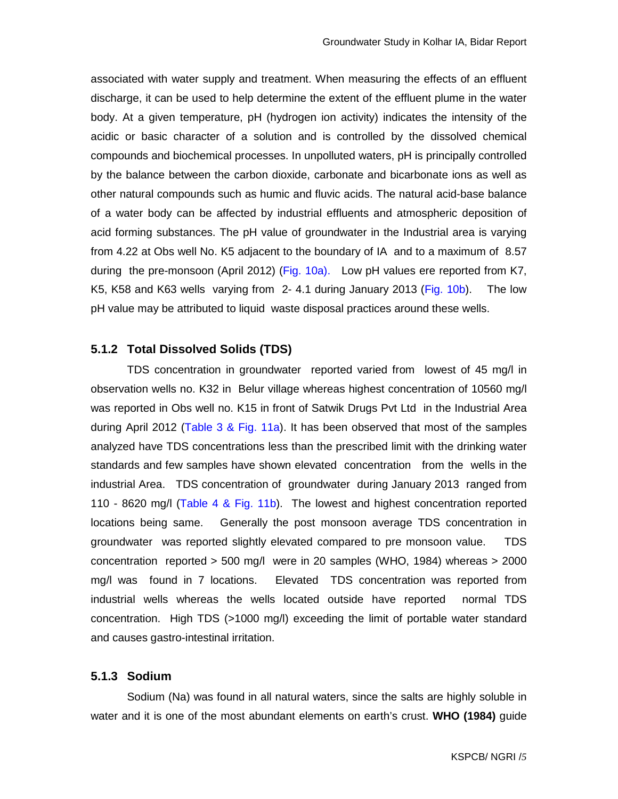associated with water supply and treatment. When measuring the effects of an effluent discharge, it can be used to help determine the extent of the effluent plume in the water body. At a given temperature, pH (hydrogen ion activity) indicates the intensity of the acidic or basic character of a solution and is controlled by the dissolved chemical compounds and biochemical processes. In unpolluted waters, pH is principally controlled by the balance between the carbon dioxide, carbonate and bicarbonate ions as well as other natural compounds such as humic and fluvic acids. The natural acid-base balance of a water body can be affected by industrial effluents and atmospheric deposition of acid forming substances. The pH value of groundwater in the Industrial area is varying from 4.22 at Obs well No. K5 adjacent to the boundary of IA and to a maximum of 8.57 during the pre-monsoon (April 2012) (Fig. 10a). Low pH values ere reported from K7, K5, K58 and K63 wells varying from 2- 4.1 during January 2013 (Fig. 10b). The low pH value may be attributed to liquid waste disposal practices around these wells.

#### **5.1.2 Total Dissolved Solids (TDS)**

TDS concentration in groundwater reported varied from lowest of 45 mg/l in observation wells no. K32 in Belur village whereas highest concentration of 10560 mg/l was reported in Obs well no. K15 in front of Satwik Drugs Pvt Ltd in the Industrial Area during April 2012 (Table 3 & Fig. 11a). It has been observed that most of the samples analyzed have TDS concentrations less than the prescribed limit with the drinking water standards and few samples have shown elevated concentration from the wells in the industrial Area. TDS concentration of groundwater during January 2013 ranged from 110 - 8620 mg/l (Table 4 & Fig. 11b). The lowest and highest concentration reported locations being same. Generally the post monsoon average TDS concentration in groundwater was reported slightly elevated compared to pre monsoon value. TDS concentration reported > 500 mg/l were in 20 samples (WHO, 1984) whereas > 2000 mg/l was found in 7 locations. Elevated TDS concentration was reported from industrial wells whereas the wells located outside have reported normal TDS concentration. High TDS (>1000 mg/l) exceeding the limit of portable water standard and causes gastro-intestinal irritation.

#### **5.1.3 Sodium**

Sodium (Na) was found in all natural waters, since the salts are highly soluble in water and it is one of the most abundant elements on earth's crust. **WHO (1984)** guide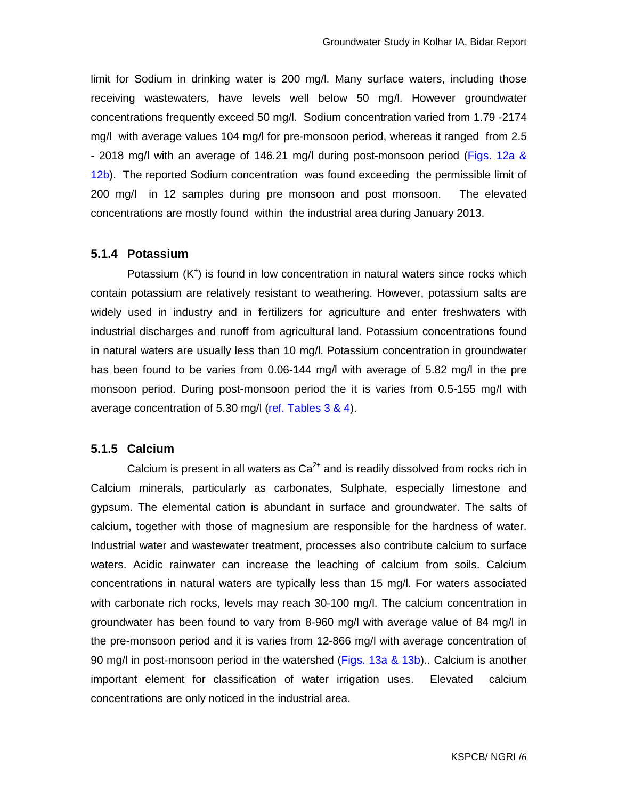limit for Sodium in drinking water is 200 mg/l. Many surface waters, including those receiving wastewaters, have levels well below 50 mg/l. However groundwater concentrations frequently exceed 50 mg/l. Sodium concentration varied from 1.79 -2174 mg/l with average values 104 mg/l for pre-monsoon period, whereas it ranged from 2.5 - 2018 mg/l with an average of 146.21 mg/l during post-monsoon period (Figs. 12a & 12b). The reported Sodium concentration was found exceeding the permissible limit of 200 mg/l in 12 samples during pre monsoon and post monsoon. The elevated concentrations are mostly found within the industrial area during January 2013.

#### **5.1.4 Potassium**

Potassium (K<sup>+</sup>) is found in low concentration in natural waters since rocks which contain potassium are relatively resistant to weathering. However, potassium salts are widely used in industry and in fertilizers for agriculture and enter freshwaters with industrial discharges and runoff from agricultural land. Potassium concentrations found in natural waters are usually less than 10 mg/l. Potassium concentration in groundwater has been found to be varies from 0.06-144 mg/l with average of 5.82 mg/l in the pre monsoon period. During post-monsoon period the it is varies from 0.5-155 mg/l with average concentration of 5.30 mg/l (ref. Tables 3 & 4).

## **5.1.5 Calcium**

Calcium is present in all waters as  $Ca<sup>2+</sup>$  and is readily dissolved from rocks rich in Calcium minerals, particularly as carbonates, Sulphate, especially limestone and gypsum. The elemental cation is abundant in surface and groundwater. The salts of calcium, together with those of magnesium are responsible for the hardness of water. Industrial water and wastewater treatment, processes also contribute calcium to surface waters. Acidic rainwater can increase the leaching of calcium from soils. Calcium concentrations in natural waters are typically less than 15 mg/l. For waters associated with carbonate rich rocks, levels may reach 30-100 mg/l. The calcium concentration in groundwater has been found to vary from 8-960 mg/l with average value of 84 mg/l in the pre-monsoon period and it is varies from 12-866 mg/l with average concentration of 90 mg/l in post-monsoon period in the watershed (Figs. 13a & 13b).. Calcium is another important element for classification of water irrigation uses. Elevated calcium concentrations are only noticed in the industrial area.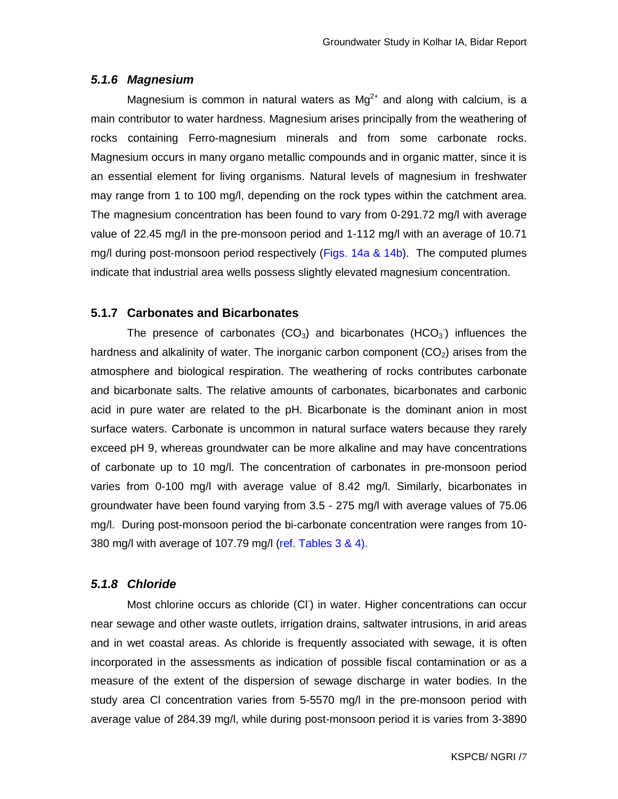#### **5.1.6 Magnesium**

Magnesium is common in natural waters as  $Mg^{2+}$  and along with calcium, is a main contributor to water hardness. Magnesium arises principally from the weathering of rocks containing Ferro-magnesium minerals and from some carbonate rocks. Magnesium occurs in many organo metallic compounds and in organic matter, since it is an essential element for living organisms. Natural levels of magnesium in freshwater may range from 1 to 100 mg/l, depending on the rock types within the catchment area. The magnesium concentration has been found to vary from 0-291.72 mg/l with average value of 22.45 mg/l in the pre-monsoon period and 1-112 mg/l with an average of 10.71 mg/l during post-monsoon period respectively (Figs. 14a & 14b). The computed plumes indicate that industrial area wells possess slightly elevated magnesium concentration.

#### **5.1.7 Carbonates and Bicarbonates**

The presence of carbonates (CO<sub>3</sub>) and bicarbonates (HCO<sub>3</sub>) influences the hardness and alkalinity of water. The inorganic carbon component  $(CO<sub>2</sub>)$  arises from the atmosphere and biological respiration. The weathering of rocks contributes carbonate and bicarbonate salts. The relative amounts of carbonates, bicarbonates and carbonic acid in pure water are related to the pH. Bicarbonate is the dominant anion in most surface waters. Carbonate is uncommon in natural surface waters because they rarely exceed pH 9, whereas groundwater can be more alkaline and may have concentrations of carbonate up to 10 mg/l. The concentration of carbonates in pre-monsoon period varies from 0-100 mg/l with average value of 8.42 mg/l. Similarly, bicarbonates in groundwater have been found varying from 3.5 - 275 mg/l with average values of 75.06 mg/l. During post-monsoon period the bi-carbonate concentration were ranges from 10- 380 mg/l with average of 107.79 mg/l (ref. Tables 3 & 4).

## **5.1.8 Chloride**

Most chlorine occurs as chloride (CI<sup>-</sup>) in water. Higher concentrations can occur near sewage and other waste outlets, irrigation drains, saltwater intrusions, in arid areas and in wet coastal areas. As chloride is frequently associated with sewage, it is often incorporated in the assessments as indication of possible fiscal contamination or as a measure of the extent of the dispersion of sewage discharge in water bodies. In the study area Cl concentration varies from 5-5570 mg/l in the pre-monsoon period with average value of 284.39 mg/l, while during post-monsoon period it is varies from 3-3890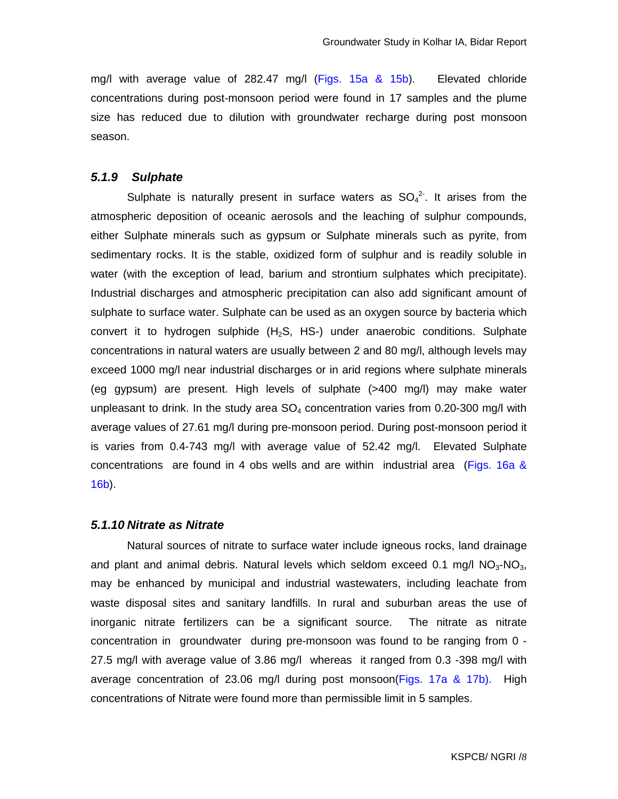mg/l with average value of 282.47 mg/l (Figs. 15a & 15b). Elevated chloride concentrations during post-monsoon period were found in 17 samples and the plume size has reduced due to dilution with groundwater recharge during post monsoon season.

#### **5.1.9 Sulphate**

Sulphate is naturally present in surface waters as  $SO_4^2$ . It arises from the atmospheric deposition of oceanic aerosols and the leaching of sulphur compounds, either Sulphate minerals such as gypsum or Sulphate minerals such as pyrite, from sedimentary rocks. It is the stable, oxidized form of sulphur and is readily soluble in water (with the exception of lead, barium and strontium sulphates which precipitate). Industrial discharges and atmospheric precipitation can also add significant amount of sulphate to surface water. Sulphate can be used as an oxygen source by bacteria which convert it to hydrogen sulphide  $(H_2S, HS)$  under anaerobic conditions. Sulphate concentrations in natural waters are usually between 2 and 80 mg/l, although levels may exceed 1000 mg/l near industrial discharges or in arid regions where sulphate minerals (eg gypsum) are present. High levels of sulphate (>400 mg/l) may make water unpleasant to drink. In the study area  $SO_4$  concentration varies from 0.20-300 mg/l with average values of 27.61 mg/l during pre-monsoon period. During post-monsoon period it is varies from 0.4-743 mg/l with average value of 52.42 mg/l. Elevated Sulphate concentrations are found in 4 obs wells and are within industrial area (Figs. 16a & 16b).

#### **5.1.10 Nitrate as Nitrate**

Natural sources of nitrate to surface water include igneous rocks, land drainage and plant and animal debris. Natural levels which seldom exceed 0.1 mg/l  $NO<sub>3</sub>$ -NO<sub>3</sub>, may be enhanced by municipal and industrial wastewaters, including leachate from waste disposal sites and sanitary landfills. In rural and suburban areas the use of inorganic nitrate fertilizers can be a significant source. The nitrate as nitrate concentration in groundwater during pre-monsoon was found to be ranging from 0 - 27.5 mg/l with average value of 3.86 mg/l whereas it ranged from 0.3 -398 mg/l with average concentration of 23.06 mg/l during post monsoon(Figs. 17a & 17b). High concentrations of Nitrate were found more than permissible limit in 5 samples.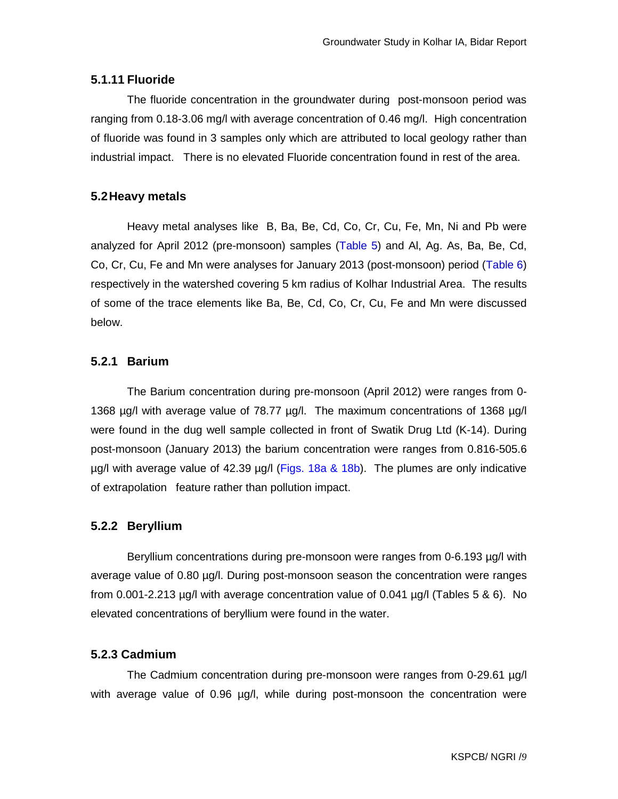## **5.1.11 Fluoride**

The fluoride concentration in the groundwater during post-monsoon period was ranging from 0.18-3.06 mg/l with average concentration of 0.46 mg/l. High concentration of fluoride was found in 3 samples only which are attributed to local geology rather than industrial impact. There is no elevated Fluoride concentration found in rest of the area.

## **5.2 Heavy metals**

Heavy metal analyses like B, Ba, Be, Cd, Co, Cr, Cu, Fe, Mn, Ni and Pb were analyzed for April 2012 (pre-monsoon) samples (Table 5) and Al, Ag. As, Ba, Be, Cd, Co, Cr, Cu, Fe and Mn were analyses for January 2013 (post-monsoon) period (Table 6) respectively in the watershed covering 5 km radius of Kolhar Industrial Area. The results of some of the trace elements like Ba, Be, Cd, Co, Cr, Cu, Fe and Mn were discussed below.

## **5.2.1 Barium**

 The Barium concentration during pre-monsoon (April 2012) were ranges from 0- 1368 µg/l with average value of 78.77 µg/l. The maximum concentrations of 1368 µg/l were found in the dug well sample collected in front of Swatik Drug Ltd (K-14). During post-monsoon (January 2013) the barium concentration were ranges from 0.816-505.6  $\mu$ g/l with average value of 42.39  $\mu$ g/l (Figs. 18a & 18b). The plumes are only indicative of extrapolation feature rather than pollution impact.

## **5.2.2 Beryllium**

Beryllium concentrations during pre-monsoon were ranges from 0-6.193 µg/l with average value of 0.80 µg/l. During post-monsoon season the concentration were ranges from 0.001-2.213 µg/l with average concentration value of 0.041 µg/l (Tables 5 & 6). No elevated concentrations of beryllium were found in the water.

## **5.2.3 Cadmium**

The Cadmium concentration during pre-monsoon were ranges from 0-29.61 µg/l with average value of 0.96 µg/l, while during post-monsoon the concentration were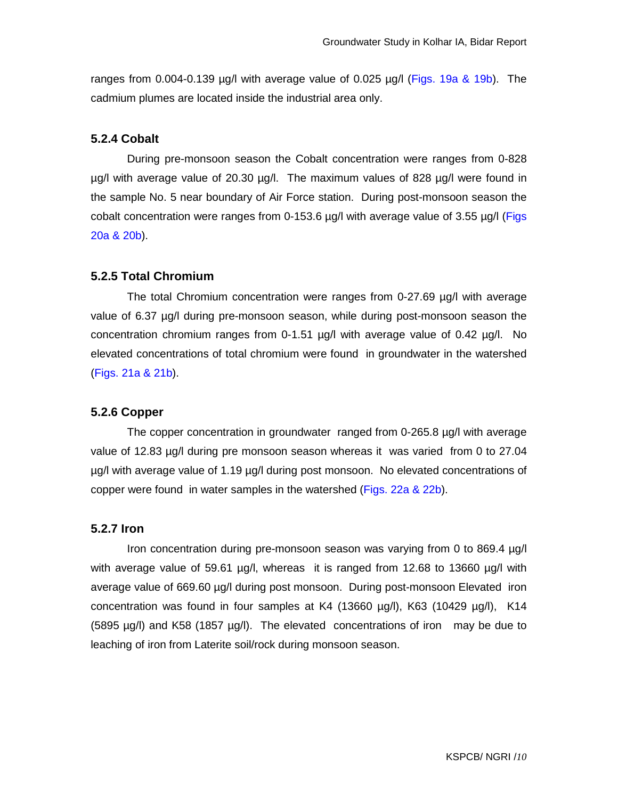ranges from 0.004-0.139  $\mu$ g/l with average value of 0.025  $\mu$ g/l (Figs. 19a & 19b). The cadmium plumes are located inside the industrial area only.

### **5.2.4 Cobalt**

During pre-monsoon season the Cobalt concentration were ranges from 0-828 µg/l with average value of 20.30 µg/l. The maximum values of 828 µg/l were found in the sample No. 5 near boundary of Air Force station. During post-monsoon season the cobalt concentration were ranges from 0-153.6 µg/l with average value of 3.55 µg/l (Figs 20a & 20b).

#### **5.2.5 Total Chromium**

 The total Chromium concentration were ranges from 0-27.69 µg/l with average value of 6.37 µg/l during pre-monsoon season, while during post-monsoon season the concentration chromium ranges from 0-1.51 µg/l with average value of 0.42 µg/l. No elevated concentrations of total chromium were found in groundwater in the watershed (Figs. 21a & 21b).

#### **5.2.6 Copper**

The copper concentration in groundwater ranged from 0-265.8 µg/l with average value of 12.83 µg/l during pre monsoon season whereas it was varied from 0 to 27.04 µg/l with average value of 1.19 µg/l during post monsoon. No elevated concentrations of copper were found in water samples in the watershed (Figs. 22a & 22b).

### **5.2.7 Iron**

Iron concentration during pre-monsoon season was varying from 0 to 869.4 µg/l with average value of 59.61 µg/l, whereas it is ranged from 12.68 to 13660 µg/l with average value of 669.60 µg/l during post monsoon. During post-monsoon Elevated iron concentration was found in four samples at K4 (13660  $\mu$ g/l), K63 (10429  $\mu$ g/l), K14 (5895 µg/l) and K58 (1857 µg/l). The elevated concentrations of iron may be due to leaching of iron from Laterite soil/rock during monsoon season.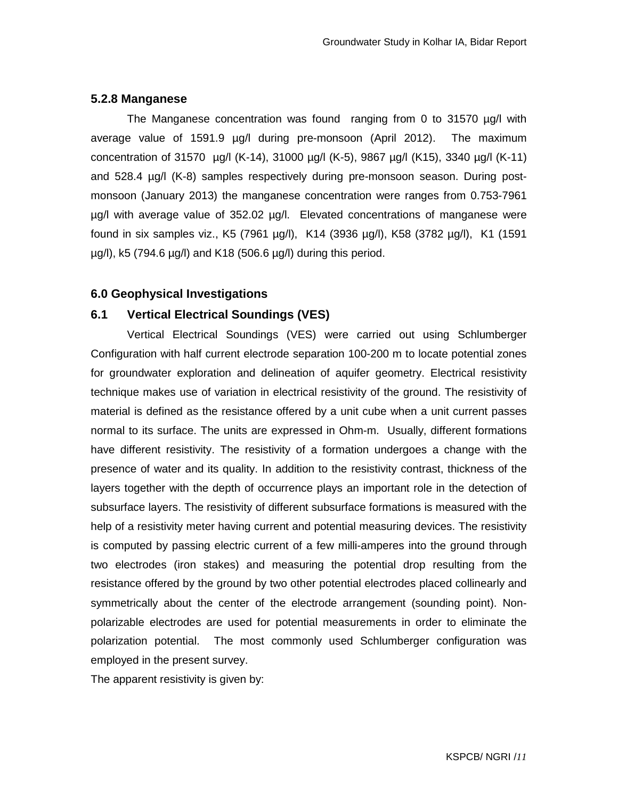#### **5.2.8 Manganese**

The Manganese concentration was found ranging from 0 to 31570 µg/l with average value of 1591.9 µg/l during pre-monsoon (April 2012). The maximum concentration of 31570 µg/l (K-14), 31000 µg/l (K-5), 9867 µg/l (K15), 3340 µg/l (K-11) and 528.4 µg/l (K-8) samples respectively during pre-monsoon season. During postmonsoon (January 2013) the manganese concentration were ranges from 0.753-7961 µg/l with average value of 352.02 µg/l. Elevated concentrations of manganese were found in six samples viz., K5 (7961 µg/l), K14 (3936 µg/l), K58 (3782 µg/l), K1 (1591 µg/l), k5 (794.6 µg/l) and K18 (506.6 µg/l) during this period.

### **6.0 Geophysical Investigations**

#### **6.1 Vertical Electrical Soundings (VES)**

Vertical Electrical Soundings (VES) were carried out using Schlumberger Configuration with half current electrode separation 100-200 m to locate potential zones for groundwater exploration and delineation of aquifer geometry. Electrical resistivity technique makes use of variation in electrical resistivity of the ground. The resistivity of material is defined as the resistance offered by a unit cube when a unit current passes normal to its surface. The units are expressed in Ohm-m. Usually, different formations have different resistivity. The resistivity of a formation undergoes a change with the presence of water and its quality. In addition to the resistivity contrast, thickness of the layers together with the depth of occurrence plays an important role in the detection of subsurface layers. The resistivity of different subsurface formations is measured with the help of a resistivity meter having current and potential measuring devices. The resistivity is computed by passing electric current of a few milli-amperes into the ground through two electrodes (iron stakes) and measuring the potential drop resulting from the resistance offered by the ground by two other potential electrodes placed collinearly and symmetrically about the center of the electrode arrangement (sounding point). Nonpolarizable electrodes are used for potential measurements in order to eliminate the polarization potential. The most commonly used Schlumberger configuration was employed in the present survey.

The apparent resistivity is given by: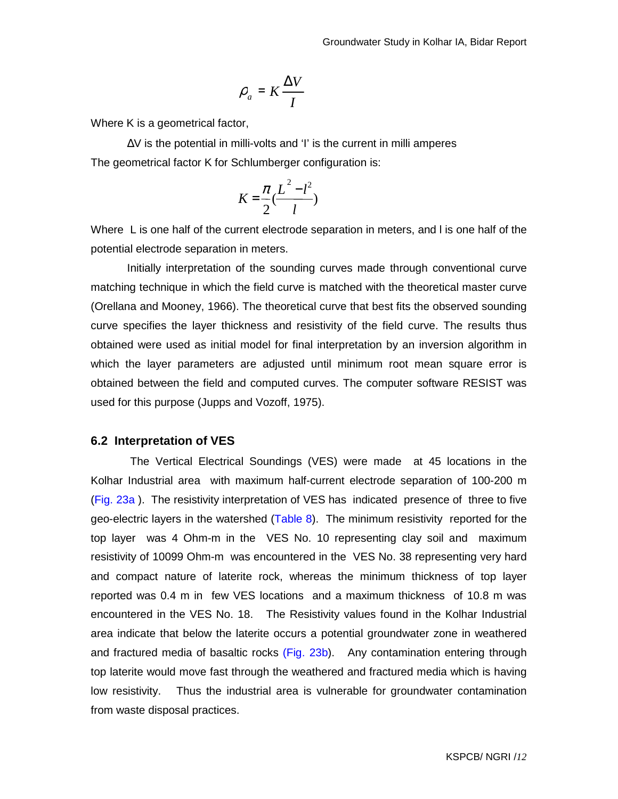$$
\rho_a = K \frac{\Delta V}{I}
$$

Where K is a geometrical factor,

∆V is the potential in milli-volts and 'I' is the current in milli amperes The geometrical factor K for Schlumberger configuration is:

$$
K = \frac{\pi}{2} \frac{L^2 - l^2}{l}
$$

Where L is one half of the current electrode separation in meters, and l is one half of the potential electrode separation in meters.

Initially interpretation of the sounding curves made through conventional curve matching technique in which the field curve is matched with the theoretical master curve (Orellana and Mooney, 1966). The theoretical curve that best fits the observed sounding curve specifies the layer thickness and resistivity of the field curve. The results thus obtained were used as initial model for final interpretation by an inversion algorithm in which the layer parameters are adjusted until minimum root mean square error is obtained between the field and computed curves. The computer software RESIST was used for this purpose (Jupps and Vozoff, 1975).

#### **6.2 Interpretation of VES**

 The Vertical Electrical Soundings (VES) were made at 45 locations in the Kolhar Industrial area with maximum half-current electrode separation of 100-200 m (Fig. 23a ). The resistivity interpretation of VES has indicated presence of three to five geo-electric layers in the watershed (Table 8).The minimum resistivity reported for the top layer was 4 Ohm-m in the VES No. 10 representing clay soil and maximum resistivity of 10099 Ohm-m was encountered in the VES No. 38 representing very hard and compact nature of laterite rock, whereas the minimum thickness of top layer reported was 0.4 m in few VES locations and a maximum thickness of 10.8 m was encountered in the VES No. 18. The Resistivity values found in the Kolhar Industrial area indicate that below the laterite occurs a potential groundwater zone in weathered and fractured media of basaltic rocks (Fig. 23b). Any contamination entering through top laterite would move fast through the weathered and fractured media which is having low resistivity. Thus the industrial area is vulnerable for groundwater contamination from waste disposal practices.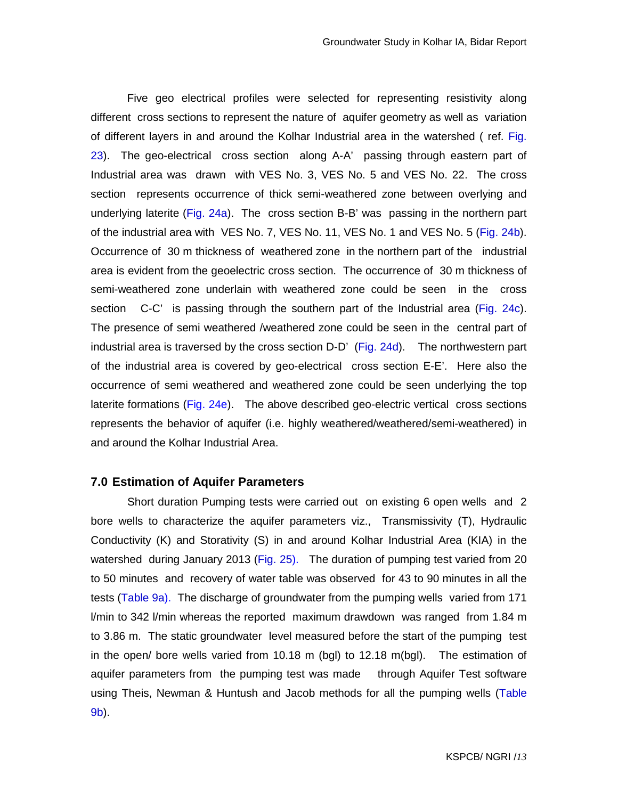Five geo electrical profiles were selected for representing resistivity along different cross sections to represent the nature of aquifer geometry as well as variation of different layers in and around the Kolhar Industrial area in the watershed ( ref. Fig. 23). The geo-electrical cross section along A-A' passing through eastern part of Industrial area was drawn with VES No. 3, VES No. 5 and VES No. 22. The cross section represents occurrence of thick semi-weathered zone between overlying and underlying laterite (Fig. 24a). The cross section B-B' was passing in the northern part of the industrial area with VES No. 7, VES No. 11, VES No. 1 and VES No. 5 (Fig. 24b). Occurrence of 30 m thickness of weathered zone in the northern part of the industrial area is evident from the geoelectric cross section. The occurrence of 30 m thickness of semi-weathered zone underlain with weathered zone could be seen in the cross section C-C' is passing through the southern part of the Industrial area (Fig. 24c). The presence of semi weathered /weathered zone could be seen in the central part of industrial area is traversed by the cross section D-D' (Fig. 24d). The northwestern part of the industrial area is covered by geo-electrical cross section E-E'. Here also the occurrence of semi weathered and weathered zone could be seen underlying the top laterite formations (Fig.  $24e$ ). The above described geo-electric vertical cross sections represents the behavior of aquifer (i.e. highly weathered/weathered/semi-weathered) in and around the Kolhar Industrial Area.

#### **7.0 Estimation of Aquifer Parameters**

 Short duration Pumping tests were carried out on existing 6 open wells and 2 bore wells to characterize the aquifer parameters viz., Transmissivity (T), Hydraulic Conductivity (K) and Storativity (S) in and around Kolhar Industrial Area (KIA) in the watershed during January 2013 (Fig. 25). The duration of pumping test varied from 20 to 50 minutes and recovery of water table was observed for 43 to 90 minutes in all the tests (Table 9a). The discharge of groundwater from the pumping wells varied from 171 l/min to 342 l/min whereas the reported maximum drawdown was ranged from 1.84 m to 3.86 m. The static groundwater level measured before the start of the pumping test in the open/ bore wells varied from 10.18 m (bgl) to 12.18 m(bgl). The estimation of aquifer parameters from the pumping test was made through Aquifer Test software using Theis, Newman & Huntush and Jacob methods for all the pumping wells (Table 9b).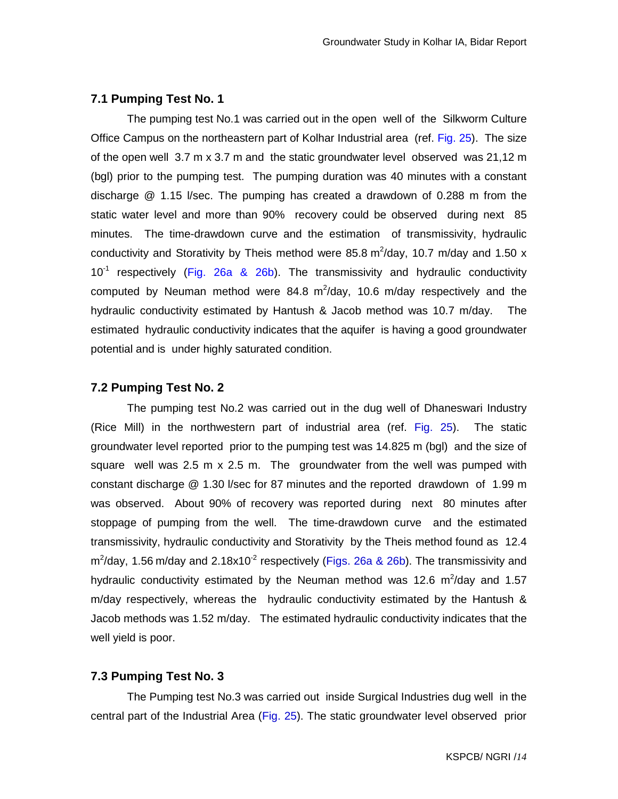#### **7.1 Pumping Test No. 1**

The pumping test No.1 was carried out in the open well of the Silkworm Culture Office Campus on the northeastern part of Kolhar Industrial area (ref. Fig. 25). The size of the open well 3.7 m x 3.7 m and the static groundwater level observed was 21,12 m (bgl) prior to the pumping test. The pumping duration was 40 minutes with a constant discharge @ 1.15 l/sec. The pumping has created a drawdown of 0.288 m from the static water level and more than 90% recovery could be observed during next 85 minutes. The time-drawdown curve and the estimation of transmissivity, hydraulic conductivity and Storativity by Theis method were 85.8 m<sup>2</sup>/day, 10.7 m/day and 1.50 x  $10^{-1}$  respectively (Fig. 26a & 26b). The transmissivity and hydraulic conductivity computed by Neuman method were 84.8  $m^2$ /day, 10.6 m/day respectively and the hydraulic conductivity estimated by Hantush & Jacob method was 10.7 m/day. The estimated hydraulic conductivity indicates that the aquifer is having a good groundwater potential and is under highly saturated condition.

#### **7.2 Pumping Test No. 2**

The pumping test No.2 was carried out in the dug well of Dhaneswari Industry (Rice Mill) in the northwestern part of industrial area (ref. Fig. 25). The static groundwater level reported prior to the pumping test was 14.825 m (bgl) and the size of square well was 2.5 m x 2.5 m. The groundwater from the well was pumped with constant discharge @ 1.30 l/sec for 87 minutes and the reported drawdown of 1.99 m was observed. About 90% of recovery was reported during next 80 minutes after stoppage of pumping from the well. The time-drawdown curve and the estimated transmissivity, hydraulic conductivity and Storativity by the Theis method found as 12.4  $m^2$ /day, 1.56 m/day and 2.18x10<sup>-2</sup> respectively (Figs. 26a & 26b). The transmissivity and hydraulic conductivity estimated by the Neuman method was 12.6  $m^2$ /day and 1.57 m/day respectively, whereas the hydraulic conductivity estimated by the Hantush & Jacob methods was 1.52 m/day. The estimated hydraulic conductivity indicates that the well yield is poor.

### **7.3 Pumping Test No. 3**

The Pumping test No.3 was carried out inside Surgical Industries dug well in the central part of the Industrial Area (Fig. 25). The static groundwater level observed prior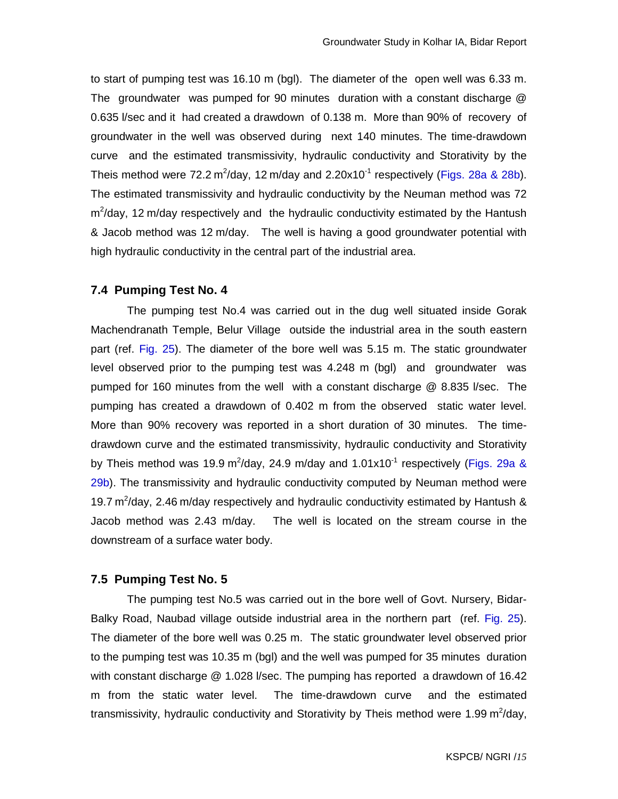to start of pumping test was 16.10 m (bgl). The diameter of the open well was 6.33 m. The groundwater was pumped for 90 minutes duration with a constant discharge @ 0.635 l/sec and it had created a drawdown of 0.138 m. More than 90% of recovery of groundwater in the well was observed during next 140 minutes. The time-drawdown curve and the estimated transmissivity, hydraulic conductivity and Storativity by the Theis method were 72.2 m<sup>2</sup>/day, 12 m/day and 2.20x10<sup>-1</sup> respectively (Figs. 28a & 28b). The estimated transmissivity and hydraulic conductivity by the Neuman method was 72 m<sup>2</sup>/day, 12 m/day respectively and the hydraulic conductivity estimated by the Hantush & Jacob method was 12 m/day. The well is having a good groundwater potential with high hydraulic conductivity in the central part of the industrial area.

#### **7.4 Pumping Test No. 4**

The pumping test No.4 was carried out in the dug well situated inside Gorak Machendranath Temple, Belur Village outside the industrial area in the south eastern part (ref. Fig. 25). The diameter of the bore well was 5.15 m. The static groundwater level observed prior to the pumping test was 4.248 m (bgl) and groundwater was pumped for 160 minutes from the well with a constant discharge @ 8.835 l/sec. The pumping has created a drawdown of 0.402 m from the observed static water level. More than 90% recovery was reported in a short duration of 30 minutes. The timedrawdown curve and the estimated transmissivity, hydraulic conductivity and Storativity by Theis method was 19.9 m<sup>2</sup>/day, 24.9 m/day and 1.01x10<sup>-1</sup> respectively (Figs. 29a & 29b). The transmissivity and hydraulic conductivity computed by Neuman method were 19.7  $m^2$ /day, 2.46 m/day respectively and hydraulic conductivity estimated by Hantush & Jacob method was 2.43 m/day. The well is located on the stream course in the downstream of a surface water body.

#### **7.5 Pumping Test No. 5**

The pumping test No.5 was carried out in the bore well of Govt. Nursery, Bidar-Balky Road, Naubad village outside industrial area in the northern part (ref. Fig. 25). The diameter of the bore well was 0.25 m. The static groundwater level observed prior to the pumping test was 10.35 m (bgl) and the well was pumped for 35 minutes duration with constant discharge @ 1.028 l/sec. The pumping has reported a drawdown of 16.42 m from the static water level. The time-drawdown curve and the estimated transmissivity, hydraulic conductivity and Storativity by Theis method were 1.99 m<sup>2</sup>/day,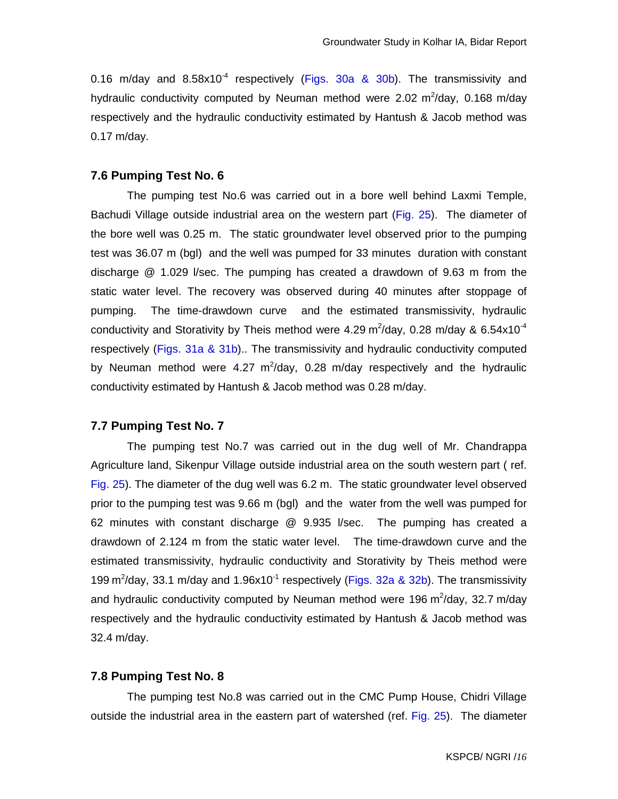0.16 m/day and  $8.58\times10^{-4}$  respectively (Figs. 30a & 30b). The transmissivity and hydraulic conductivity computed by Neuman method were 2.02  $m^2$ /day, 0.168 m/day respectively and the hydraulic conductivity estimated by Hantush & Jacob method was 0.17 m/day.

#### **7.6 Pumping Test No. 6**

 The pumping test No.6 was carried out in a bore well behind Laxmi Temple, Bachudi Village outside industrial area on the western part (Fig. 25). The diameter of the bore well was 0.25 m. The static groundwater level observed prior to the pumping test was 36.07 m (bgl) and the well was pumped for 33 minutes duration with constant discharge @ 1.029 l/sec. The pumping has created a drawdown of 9.63 m from the static water level. The recovery was observed during 40 minutes after stoppage of pumping. The time-drawdown curve and the estimated transmissivity, hydraulic conductivity and Storativity by Theis method were 4.29 m<sup>2</sup>/day, 0.28 m/day & 6.54x10<sup>-4</sup> respectively (Figs. 31a & 31b).. The transmissivity and hydraulic conductivity computed by Neuman method were 4.27  $m^2/day$ , 0.28 m/day respectively and the hydraulic conductivity estimated by Hantush & Jacob method was 0.28 m/day.

#### **7.7 Pumping Test No. 7**

The pumping test No.7 was carried out in the dug well of Mr. Chandrappa Agriculture land, Sikenpur Village outside industrial area on the south western part ( ref. Fig. 25). The diameter of the dug well was 6.2 m. The static groundwater level observed prior to the pumping test was 9.66 m (bgl) and the water from the well was pumped for 62 minutes with constant discharge @ 9.935 l/sec. The pumping has created a drawdown of 2.124 m from the static water level. The time-drawdown curve and the estimated transmissivity, hydraulic conductivity and Storativity by Theis method were 199 m<sup>2</sup>/day, 33.1 m/day and 1.96x10<sup>-1</sup> respectively (Figs. 32a & 32b). The transmissivity and hydraulic conductivity computed by Neuman method were 196 m<sup>2</sup>/day, 32.7 m/day respectively and the hydraulic conductivity estimated by Hantush & Jacob method was 32.4 m/day.

#### **7.8 Pumping Test No. 8**

The pumping test No.8 was carried out in the CMC Pump House, Chidri Village outside the industrial area in the eastern part of watershed (ref. Fig. 25). The diameter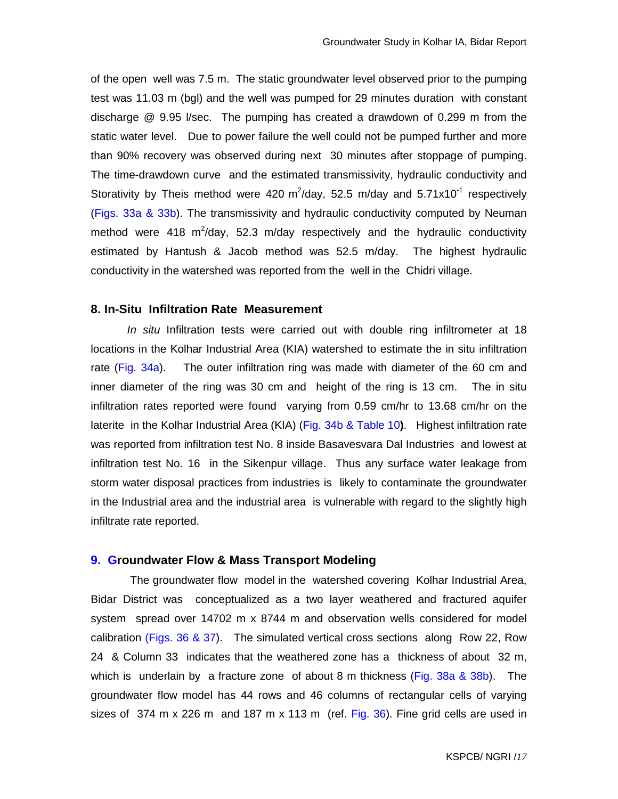of the open well was 7.5 m. The static groundwater level observed prior to the pumping test was 11.03 m (bgl) and the well was pumped for 29 minutes duration with constant discharge @ 9.95 l/sec. The pumping has created a drawdown of 0.299 m from the static water level. Due to power failure the well could not be pumped further and more than 90% recovery was observed during next 30 minutes after stoppage of pumping. The time-drawdown curve and the estimated transmissivity, hydraulic conductivity and Storativity by Theis method were 420  $m^2$ /day, 52.5 m/day and 5.71x10<sup>-1</sup> respectively (Figs. 33a & 33b). The transmissivity and hydraulic conductivity computed by Neuman method were 418  $m^2$ /day, 52.3 m/day respectively and the hydraulic conductivity estimated by Hantush & Jacob method was 52.5 m/day. The highest hydraulic conductivity in the watershed was reported from the well in the Chidri village.

#### **8. In-Situ Infiltration Rate Measurement**

In situ Infiltration tests were carried out with double ring infiltrometer at 18 locations in the Kolhar Industrial Area (KIA) watershed to estimate the in situ infiltration rate (Fig. 34a). The outer infiltration ring was made with diameter of the 60 cm and inner diameter of the ring was 30 cm and height of the ring is 13 cm. The in situ infiltration rates reported were found varying from 0.59 cm/hr to 13.68 cm/hr on the laterite in the Kolhar Industrial Area (KIA) (Fig. 34b & Table 10**)**. Highest infiltration rate was reported from infiltration test No. 8 inside Basavesvara Dal Industries and lowest at infiltration test No. 16 in the Sikenpur village. Thus any surface water leakage from storm water disposal practices from industries is likely to contaminate the groundwater in the Industrial area and the industrial area is vulnerable with regard to the slightly high infiltrate rate reported.

#### **9. Groundwater Flow & Mass Transport Modeling**

 The groundwater flow model in the watershed covering Kolhar Industrial Area, Bidar District was conceptualized as a two layer weathered and fractured aquifer system spread over 14702 m x 8744 m and observation wells considered for model calibration (Figs. 36 & 37). The simulated vertical cross sections along Row 22, Row 24 & Column 33 indicates that the weathered zone has a thickness of about 32 m, which is underlain by a fracture zone of about 8 m thickness (Fig. 38a  $\&$  38b). The groundwater flow model has 44 rows and 46 columns of rectangular cells of varying sizes of 374 m x 226 m and 187 m x 113 m (ref. Fig. 36). Fine grid cells are used in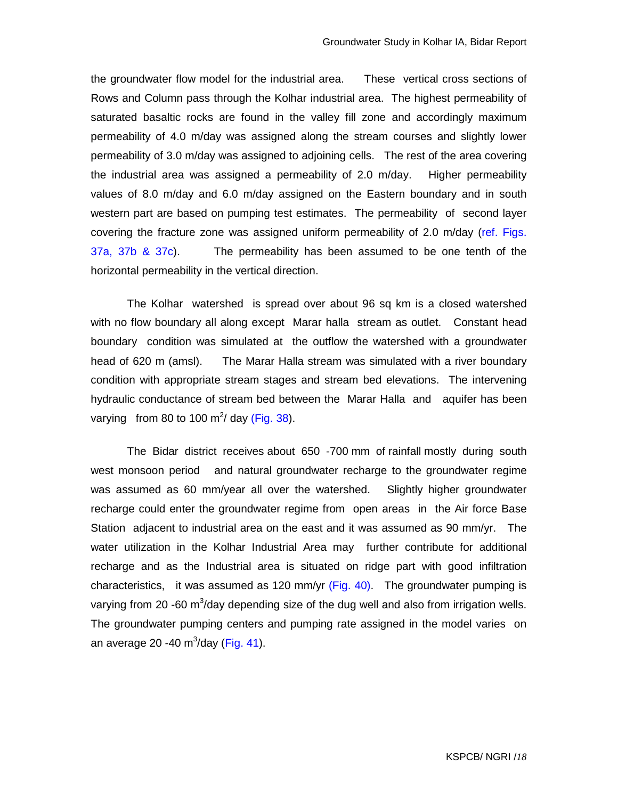the groundwater flow model for the industrial area. These vertical cross sections of Rows and Column pass through the Kolhar industrial area. The highest permeability of saturated basaltic rocks are found in the valley fill zone and accordingly maximum permeability of 4.0 m/day was assigned along the stream courses and slightly lower permeability of 3.0 m/day was assigned to adjoining cells. The rest of the area covering the industrial area was assigned a permeability of 2.0 m/day. Higher permeability values of 8.0 m/day and 6.0 m/day assigned on the Eastern boundary and in south western part are based on pumping test estimates. The permeability of second layer covering the fracture zone was assigned uniform permeability of 2.0 m/day (ref. Figs. 37a, 37b & 37c). The permeability has been assumed to be one tenth of the horizontal permeability in the vertical direction.

The Kolhar watershed is spread over about 96 sq km is a closed watershed with no flow boundary all along except Marar halla stream as outlet. Constant head boundary condition was simulated at the outflow the watershed with a groundwater head of 620 m (amsl). The Marar Halla stream was simulated with a river boundary condition with appropriate stream stages and stream bed elevations. The intervening hydraulic conductance of stream bed between the Marar Halla and aquifer has been varying from 80 to 100 m<sup>2</sup>/ day (Fig. 38).

The Bidar district receives about 650 -700 mm of rainfall mostly during south west monsoon period and natural groundwater recharge to the groundwater regime was assumed as 60 mm/year all over the watershed. Slightly higher groundwater recharge could enter the groundwater regime from open areas in the Air force Base Station adjacent to industrial area on the east and it was assumed as 90 mm/yr. The water utilization in the Kolhar Industrial Area may further contribute for additional recharge and as the Industrial area is situated on ridge part with good infiltration characteristics, it was assumed as 120 mm/yr (Fig. 40). The groundwater pumping is varying from 20 -60 m<sup>3</sup>/day depending size of the dug well and also from irrigation wells. The groundwater pumping centers and pumping rate assigned in the model varies on an average 20 -40 m $3/$ day (Fig. 41).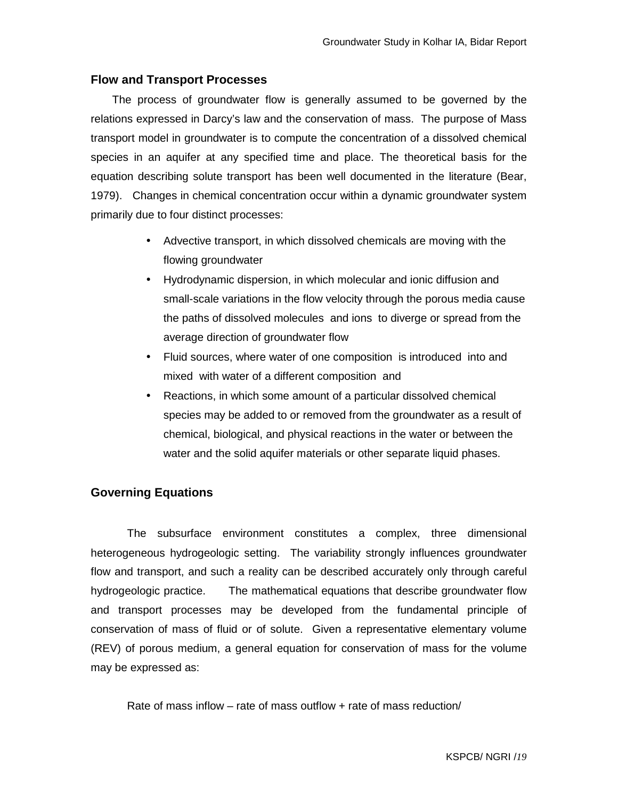## **Flow and Transport Processes**

 The process of groundwater flow is generally assumed to be governed by the relations expressed in Darcy's law and the conservation of mass. The purpose of Mass transport model in groundwater is to compute the concentration of a dissolved chemical species in an aquifer at any specified time and place. The theoretical basis for the equation describing solute transport has been well documented in the literature (Bear, 1979). Changes in chemical concentration occur within a dynamic groundwater system primarily due to four distinct processes:

- Advective transport, in which dissolved chemicals are moving with the flowing groundwater
- Hydrodynamic dispersion, in which molecular and ionic diffusion and small-scale variations in the flow velocity through the porous media cause the paths of dissolved molecules and ions to diverge or spread from the average direction of groundwater flow
- Fluid sources, where water of one composition is introduced into and mixed with water of a different composition and
- Reactions, in which some amount of a particular dissolved chemical species may be added to or removed from the groundwater as a result of chemical, biological, and physical reactions in the water or between the water and the solid aquifer materials or other separate liquid phases.

## **Governing Equations**

The subsurface environment constitutes a complex, three dimensional heterogeneous hydrogeologic setting. The variability strongly influences groundwater flow and transport, and such a reality can be described accurately only through careful hydrogeologic practice. The mathematical equations that describe groundwater flow and transport processes may be developed from the fundamental principle of conservation of mass of fluid or of solute. Given a representative elementary volume (REV) of porous medium, a general equation for conservation of mass for the volume may be expressed as:

Rate of mass inflow – rate of mass outflow + rate of mass reduction/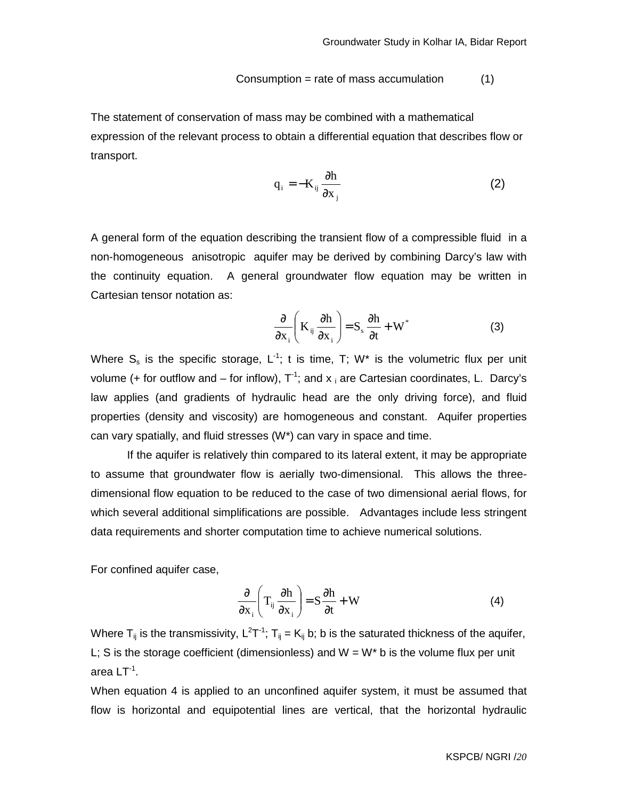$$
Consumption = rate of mass accumulation \qquad (1)
$$

The statement of conservation of mass may be combined with a mathematical expression of the relevant process to obtain a differential equation that describes flow or transport.

$$
q_i = -K_{ij} \frac{\partial h}{\partial x_j}
$$
 (2)

A general form of the equation describing the transient flow of a compressible fluid in a non-homogeneous anisotropic aquifer may be derived by combining Darcy's law with the continuity equation. A general groundwater flow equation may be written in Cartesian tensor notation as:

$$
\frac{\partial}{\partial x_i} \left( K_{ij} \frac{\partial h}{\partial x_i} \right) = S_s \frac{\partial h}{\partial t} + W^*
$$
 (3)

Where  $S_s$  is the specific storage,  $L^{-1}$ ; t is time, T; W<sup>\*</sup> is the volumetric flux per unit volume (+ for outflow and – for inflow),  $T^{-1}$ ; and  $x_i$  are Cartesian coordinates, L. Darcy's law applies (and gradients of hydraulic head are the only driving force), and fluid properties (density and viscosity) are homogeneous and constant. Aquifer properties can vary spatially, and fluid stresses (W\*) can vary in space and time.

 If the aquifer is relatively thin compared to its lateral extent, it may be appropriate to assume that groundwater flow is aerially two-dimensional. This allows the threedimensional flow equation to be reduced to the case of two dimensional aerial flows, for which several additional simplifications are possible. Advantages include less stringent data requirements and shorter computation time to achieve numerical solutions.

For confined aquifer case,

$$
\frac{\partial}{\partial x_i} \left( T_{ij} \frac{\partial h}{\partial x_i} \right) = S \frac{\partial h}{\partial t} + W \tag{4}
$$

Where T<sub>ij</sub> is the transmissivity, L<sup>2</sup>T<sup>-1</sup>; T<sub>ij</sub> = K<sub>ij</sub> b; b is the saturated thickness of the aquifer, L; S is the storage coefficient (dimensionless) and  $W = W^*$  b is the volume flux per unit area LT $^1$ .

When equation 4 is applied to an unconfined aquifer system, it must be assumed that flow is horizontal and equipotential lines are vertical, that the horizontal hydraulic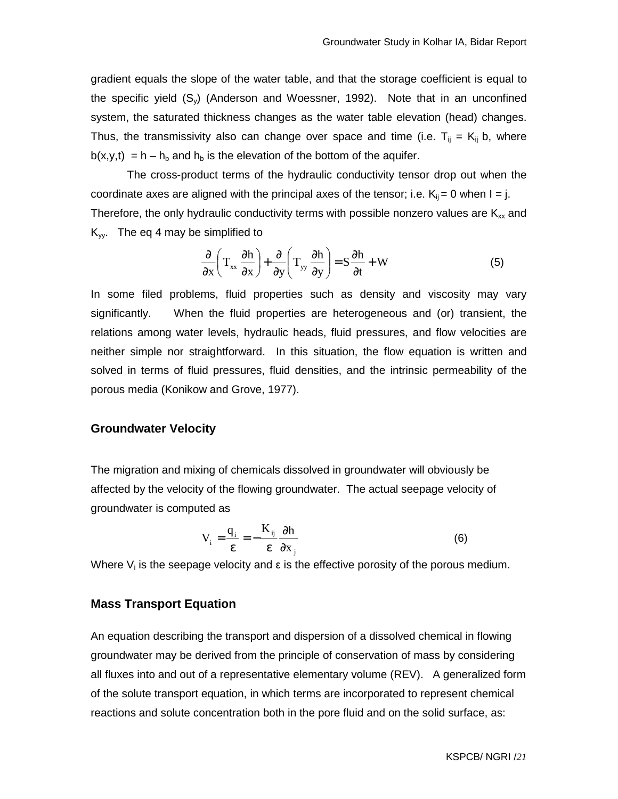gradient equals the slope of the water table, and that the storage coefficient is equal to the specific yield (Sy) (Anderson and Woessner, 1992). Note that in an unconfined system, the saturated thickness changes as the water table elevation (head) changes. Thus, the transmissivity also can change over space and time (i.e.  $T_{ij} = K_{ij}$  b, where  $b(x,y,t) = h - h_b$  and  $h_b$  is the elevation of the bottom of the aquifer.

 The cross-product terms of the hydraulic conductivity tensor drop out when the coordinate axes are aligned with the principal axes of the tensor; i.e.  $K_{ij} = 0$  when  $I = j$ . Therefore, the only hydraulic conductivity terms with possible nonzero values are  $K_{xx}$  and  $K_{yy}$ . The eq 4 may be simplified to

$$
\frac{\partial}{\partial x}\left(T_{xx}\frac{\partial h}{\partial x}\right) + \frac{\partial}{\partial y}\left(T_{yy}\frac{\partial h}{\partial y}\right) = S\frac{\partial h}{\partial t} + W
$$
(5)

In some filed problems, fluid properties such as density and viscosity may vary significantly. When the fluid properties are heterogeneous and (or) transient, the relations among water levels, hydraulic heads, fluid pressures, and flow velocities are neither simple nor straightforward. In this situation, the flow equation is written and solved in terms of fluid pressures, fluid densities, and the intrinsic permeability of the porous media (Konikow and Grove, 1977).

#### **Groundwater Velocity**

The migration and mixing of chemicals dissolved in groundwater will obviously be affected by the velocity of the flowing groundwater. The actual seepage velocity of groundwater is computed as

$$
V_{i} = \frac{q_{i}}{\varepsilon} = -\frac{K_{ij}}{\varepsilon} \frac{\partial h}{\partial x_{j}}
$$
 (6)

Where  $V_i$  is the seepage velocity and  $\varepsilon$  is the effective porosity of the porous medium.

#### **Mass Transport Equation**

An equation describing the transport and dispersion of a dissolved chemical in flowing groundwater may be derived from the principle of conservation of mass by considering all fluxes into and out of a representative elementary volume (REV). A generalized form of the solute transport equation, in which terms are incorporated to represent chemical reactions and solute concentration both in the pore fluid and on the solid surface, as: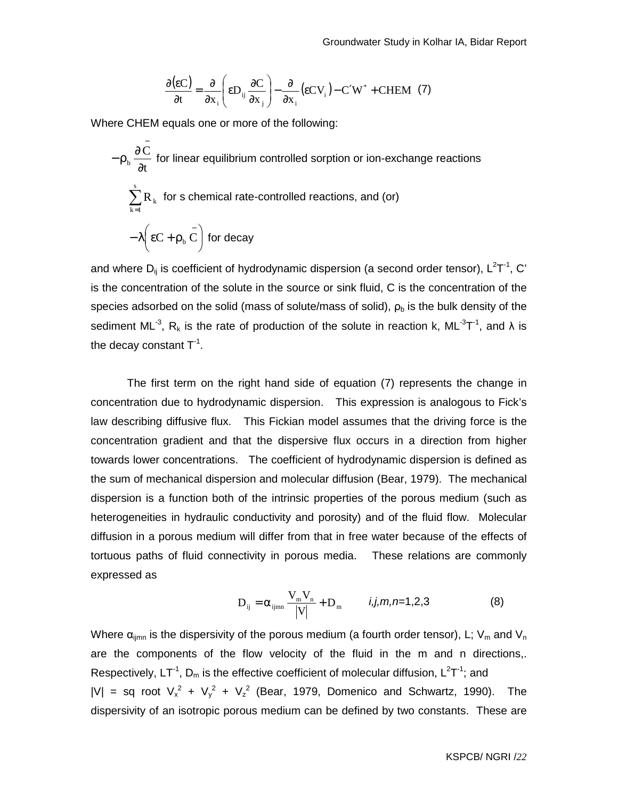$$
\frac{\partial(\varepsilon C)}{\partial t} = \frac{\partial}{\partial x_i} \left( \varepsilon D_{ij} \frac{\partial C}{\partial x_j} \right) - \frac{\partial}{\partial x_i} (\varepsilon C V_i) - C' W^* + \text{CHEM} \tag{7}
$$

Where CHEM equals one or more of the following:

$$
-\rho_b \frac{\partial \bar{C}}{\partial t}
$$
 for linear equilibrium controlled sorption or ion-exchange reactions  

$$
\sum_{k=1}^{s} R_k
$$
 for s chemical rate-controlled reactions, and (or)  

$$
-\lambda \left(\epsilon C + \rho_b \bar{C}\right)
$$
 for decay

and where D<sub>ij</sub> is coefficient of hydrodynamic dispersion (a second order tensor), L<sup>2</sup>T<sup>-1</sup>, C' is the concentration of the solute in the source or sink fluid, C is the concentration of the species adsorbed on the solid (mass of solute/mass of solid),  $\rho_b$  is the bulk density of the sediment ML<sup>-3</sup>, R<sub>k</sub> is the rate of production of the solute in reaction k, ML<sup>-3</sup>T<sup>-1</sup>, and  $\lambda$  is the decay constant  $T^{-1}$ .

 The first term on the right hand side of equation (7) represents the change in concentration due to hydrodynamic dispersion. This expression is analogous to Fick's law describing diffusive flux. This Fickian model assumes that the driving force is the concentration gradient and that the dispersive flux occurs in a direction from higher towards lower concentrations. The coefficient of hydrodynamic dispersion is defined as the sum of mechanical dispersion and molecular diffusion (Bear, 1979). The mechanical dispersion is a function both of the intrinsic properties of the porous medium (such as heterogeneities in hydraulic conductivity and porosity) and of the fluid flow. Molecular diffusion in a porous medium will differ from that in free water because of the effects of tortuous paths of fluid connectivity in porous media. These relations are commonly expressed as

$$
D_{ij} = \alpha_{ijmn} \frac{V_m V_n}{|V|} + D_m \qquad i, j, m, n = 1, 2, 3
$$
 (8)

Where  $\alpha_{\text{ijmn}}$  is the dispersivity of the porous medium (a fourth order tensor), L;  $V_m$  and  $V_n$ are the components of the flow velocity of the fluid in the m and n directions,. Respectively, LT<sup>-1</sup>, D<sub>m</sub> is the effective coefficient of molecular diffusion, L<sup>2</sup>T<sup>-1</sup>; and  $|V|$  = sq root  $V_x^2 + V_y^2 + V_z^2$  (Bear, 1979, Domenico and Schwartz, 1990). The dispersivity of an isotropic porous medium can be defined by two constants. These are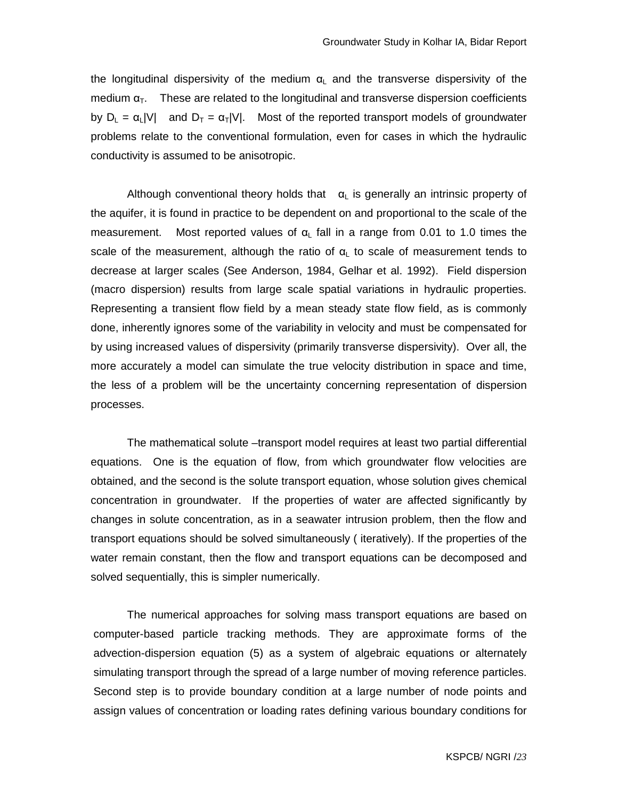the longitudinal dispersivity of the medium  $\alpha_L$  and the transverse dispersivity of the medium  $\alpha_{\tau}$ . These are related to the longitudinal and transverse dispersion coefficients by  $D_L = \alpha_L |V|$  and  $D_T = \alpha_T |V|$ . Most of the reported transport models of groundwater problems relate to the conventional formulation, even for cases in which the hydraulic conductivity is assumed to be anisotropic.

Although conventional theory holds that  $\alpha_L$  is generally an intrinsic property of the aquifer, it is found in practice to be dependent on and proportional to the scale of the measurement. Most reported values of  $\alpha$  fall in a range from 0.01 to 1.0 times the scale of the measurement, although the ratio of  $\alpha_L$  to scale of measurement tends to decrease at larger scales (See Anderson, 1984, Gelhar et al. 1992). Field dispersion (macro dispersion) results from large scale spatial variations in hydraulic properties. Representing a transient flow field by a mean steady state flow field, as is commonly done, inherently ignores some of the variability in velocity and must be compensated for by using increased values of dispersivity (primarily transverse dispersivity). Over all, the more accurately a model can simulate the true velocity distribution in space and time, the less of a problem will be the uncertainty concerning representation of dispersion processes.

The mathematical solute –transport model requires at least two partial differential equations. One is the equation of flow, from which groundwater flow velocities are obtained, and the second is the solute transport equation, whose solution gives chemical concentration in groundwater. If the properties of water are affected significantly by changes in solute concentration, as in a seawater intrusion problem, then the flow and transport equations should be solved simultaneously ( iteratively). If the properties of the water remain constant, then the flow and transport equations can be decomposed and solved sequentially, this is simpler numerically.

The numerical approaches for solving mass transport equations are based on computer-based particle tracking methods. They are approximate forms of the advection-dispersion equation (5) as a system of algebraic equations or alternately simulating transport through the spread of a large number of moving reference particles. Second step is to provide boundary condition at a large number of node points and assign values of concentration or loading rates defining various boundary conditions for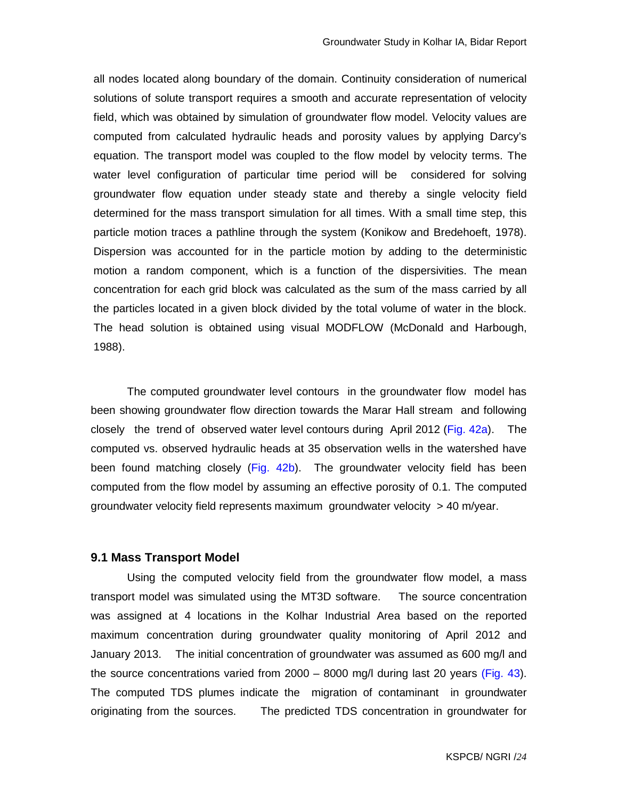all nodes located along boundary of the domain. Continuity consideration of numerical solutions of solute transport requires a smooth and accurate representation of velocity field, which was obtained by simulation of groundwater flow model. Velocity values are computed from calculated hydraulic heads and porosity values by applying Darcy's equation. The transport model was coupled to the flow model by velocity terms. The water level configuration of particular time period will be considered for solving groundwater flow equation under steady state and thereby a single velocity field determined for the mass transport simulation for all times. With a small time step, this particle motion traces a pathline through the system (Konikow and Bredehoeft, 1978). Dispersion was accounted for in the particle motion by adding to the deterministic motion a random component, which is a function of the dispersivities. The mean concentration for each grid block was calculated as the sum of the mass carried by all the particles located in a given block divided by the total volume of water in the block. The head solution is obtained using visual MODFLOW (McDonald and Harbough, 1988).

The computed groundwater level contours in the groundwater flow model has been showing groundwater flow direction towards the Marar Hall stream and following closely the trend of observed water level contours during April 2012 (Fig. 42a). The computed vs. observed hydraulic heads at 35 observation wells in the watershed have been found matching closely (Fig. 42b). The groundwater velocity field has been computed from the flow model by assuming an effective porosity of 0.1. The computed groundwater velocity field represents maximum groundwater velocity  $> 40$  m/year.

#### **9.1 Mass Transport Model**

Using the computed velocity field from the groundwater flow model, a mass transport model was simulated using the MT3D software. The source concentration was assigned at 4 locations in the Kolhar Industrial Area based on the reported maximum concentration during groundwater quality monitoring of April 2012 and January 2013. The initial concentration of groundwater was assumed as 600 mg/l and the source concentrations varied from 2000 – 8000 mg/l during last 20 years (Fig. 43). The computed TDS plumes indicate the migration of contaminant in groundwater originating from the sources. The predicted TDS concentration in groundwater for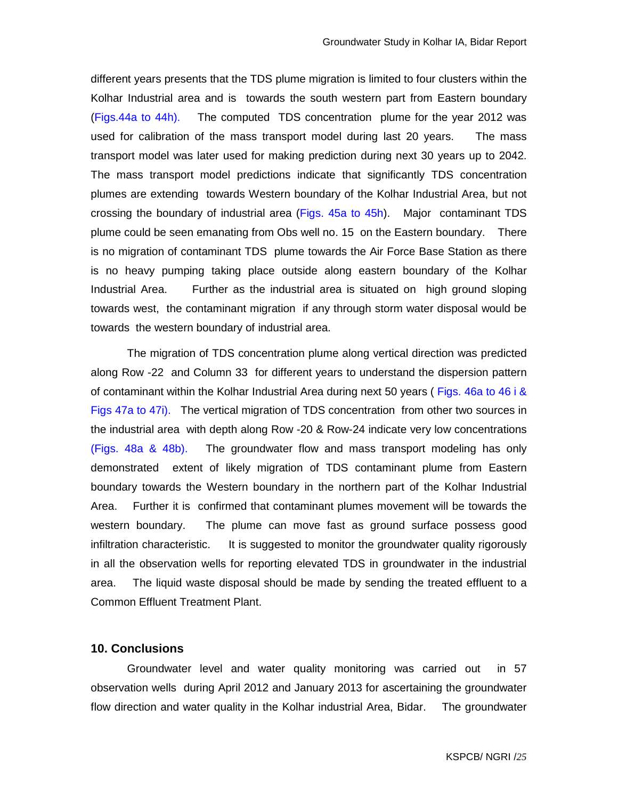different years presents that the TDS plume migration is limited to four clusters within the Kolhar Industrial area and is towards the south western part from Eastern boundary (Figs.44a to 44h). The computed TDS concentration plume for the year 2012 was used for calibration of the mass transport model during last 20 years. The mass transport model was later used for making prediction during next 30 years up to 2042. The mass transport model predictions indicate that significantly TDS concentration plumes are extending towards Western boundary of the Kolhar Industrial Area, but not crossing the boundary of industrial area (Figs. 45a to 45h). Major contaminant TDS plume could be seen emanating from Obs well no. 15 on the Eastern boundary. There is no migration of contaminant TDS plume towards the Air Force Base Station as there is no heavy pumping taking place outside along eastern boundary of the Kolhar Industrial Area. Further as the industrial area is situated on high ground sloping towards west, the contaminant migration if any through storm water disposal would be towards the western boundary of industrial area.

The migration of TDS concentration plume along vertical direction was predicted along Row -22 and Column 33 for different years to understand the dispersion pattern of contaminant within the Kolhar Industrial Area during next 50 years ( Figs. 46a to 46 i & Figs 47a to 47i). The vertical migration of TDS concentration from other two sources in the industrial area with depth along Row -20 & Row-24 indicate very low concentrations (Figs. 48a & 48b). The groundwater flow and mass transport modeling has only demonstrated extent of likely migration of TDS contaminant plume from Eastern boundary towards the Western boundary in the northern part of the Kolhar Industrial Area. Further it is confirmed that contaminant plumes movement will be towards the western boundary. The plume can move fast as ground surface possess good infiltration characteristic. It is suggested to monitor the groundwater quality rigorously in all the observation wells for reporting elevated TDS in groundwater in the industrial area. The liquid waste disposal should be made by sending the treated effluent to a Common Effluent Treatment Plant.

## **10. Conclusions**

Groundwater level and water quality monitoring was carried out in 57 observation wells during April 2012 and January 2013 for ascertaining the groundwater flow direction and water quality in the Kolhar industrial Area, Bidar. The groundwater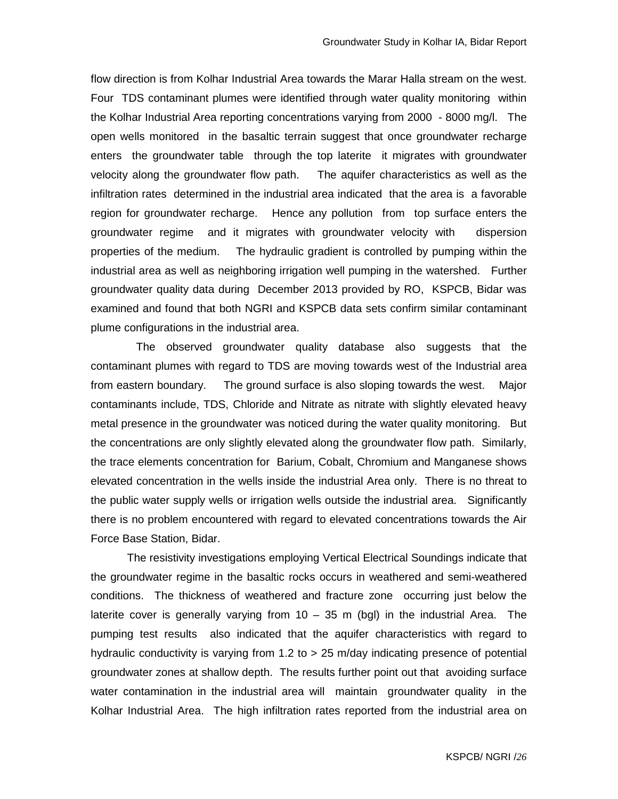flow direction is from Kolhar Industrial Area towards the Marar Halla stream on the west. Four TDS contaminant plumes were identified through water quality monitoring within the Kolhar Industrial Area reporting concentrations varying from 2000 - 8000 mg/l. The open wells monitored in the basaltic terrain suggest that once groundwater recharge enters the groundwater table through the top laterite it migrates with groundwater velocity along the groundwater flow path. The aquifer characteristics as well as the infiltration rates determined in the industrial area indicated that the area is a favorable region for groundwater recharge. Hence any pollution from top surface enters the groundwater regime and it migrates with groundwater velocity with dispersion properties of the medium. The hydraulic gradient is controlled by pumping within the industrial area as well as neighboring irrigation well pumping in the watershed. Further groundwater quality data during December 2013 provided by RO, KSPCB, Bidar was examined and found that both NGRI and KSPCB data sets confirm similar contaminant plume configurations in the industrial area.

 The observed groundwater quality database also suggests that the contaminant plumes with regard to TDS are moving towards west of the Industrial area from eastern boundary. The ground surface is also sloping towards the west. Major contaminants include, TDS, Chloride and Nitrate as nitrate with slightly elevated heavy metal presence in the groundwater was noticed during the water quality monitoring. But the concentrations are only slightly elevated along the groundwater flow path. Similarly, the trace elements concentration for Barium, Cobalt, Chromium and Manganese shows elevated concentration in the wells inside the industrial Area only. There is no threat to the public water supply wells or irrigation wells outside the industrial area. Significantly there is no problem encountered with regard to elevated concentrations towards the Air Force Base Station, Bidar.

The resistivity investigations employing Vertical Electrical Soundings indicate that the groundwater regime in the basaltic rocks occurs in weathered and semi-weathered conditions. The thickness of weathered and fracture zone occurring just below the laterite cover is generally varying from  $10 - 35$  m (bgl) in the industrial Area. The pumping test results also indicated that the aquifer characteristics with regard to hydraulic conductivity is varying from 1.2 to > 25 m/day indicating presence of potential groundwater zones at shallow depth. The results further point out that avoiding surface water contamination in the industrial area will maintain groundwater quality in the Kolhar Industrial Area. The high infiltration rates reported from the industrial area on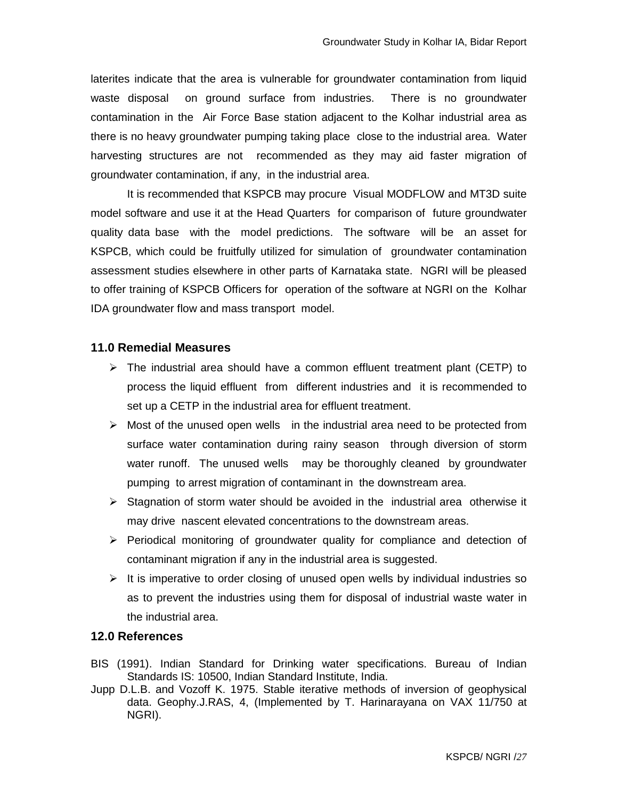laterites indicate that the area is vulnerable for groundwater contamination from liquid waste disposal on ground surface from industries. There is no groundwater contamination in the Air Force Base station adjacent to the Kolhar industrial area as there is no heavy groundwater pumping taking place close to the industrial area. Water harvesting structures are not recommended as they may aid faster migration of groundwater contamination, if any, in the industrial area.

It is recommended that KSPCB may procure Visual MODFLOW and MT3D suite model software and use it at the Head Quarters for comparison of future groundwater quality data base with the model predictions. The software will be an asset for KSPCB, which could be fruitfully utilized for simulation of groundwater contamination assessment studies elsewhere in other parts of Karnataka state. NGRI will be pleased to offer training of KSPCB Officers for operation of the software at NGRI on the Kolhar IDA groundwater flow and mass transport model.

## **11.0 Remedial Measures**

- $\triangleright$  The industrial area should have a common effluent treatment plant (CETP) to process the liquid effluent from different industries and it is recommended to set up a CETP in the industrial area for effluent treatment.
- $\triangleright$  Most of the unused open wells in the industrial area need to be protected from surface water contamination during rainy season through diversion of storm water runoff. The unused wells may be thoroughly cleaned by groundwater pumping to arrest migration of contaminant in the downstream area.
- $\triangleright$  Stagnation of storm water should be avoided in the industrial area otherwise it may drive nascent elevated concentrations to the downstream areas.
- $\triangleright$  Periodical monitoring of groundwater quality for compliance and detection of contaminant migration if any in the industrial area is suggested.
- $\triangleright$  It is imperative to order closing of unused open wells by individual industries so as to prevent the industries using them for disposal of industrial waste water in the industrial area.

## **12.0 References**

- BIS (1991). Indian Standard for Drinking water specifications. Bureau of Indian Standards IS: 10500, Indian Standard Institute, India.
- Jupp D.L.B. and Vozoff K. 1975. Stable iterative methods of inversion of geophysical data. Geophy.J.RAS, 4, (Implemented by T. Harinarayana on VAX 11/750 at NGRI).